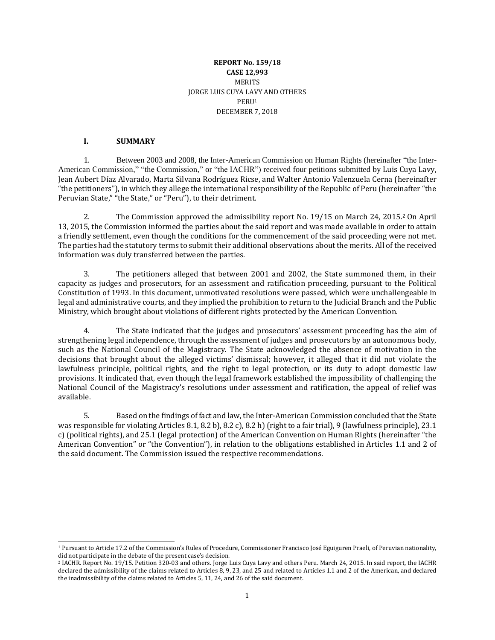## **REPORT No. 159/18 CASE 12,993** MERITS JORGE LUIS CUYA LAVY AND OTHERS PERU<sup>1</sup> DECEMBER 7, 2018

#### **I. SUMMARY**

1. Between 2003 and 2008, the Inter-American Commission on Human Rights (hereinafter "the Inter-American Commission," "the Commission," or "the IACHR") received four petitions submitted by Luis Cuya Lavy, Jean Aubert Díaz Alvarado, Marta Silvana Rodríguez Ricse, and Walter Antonio Valenzuela Cerna (hereinafter "the petitioners"), in which they allege the international responsibility of the Republic of Peru (hereinafter "the Peruvian State," "the State," or "Peru"), to their detriment.

2. The Commission approved the admissibility report No. 19/15 on March 24, 2015.<sup>2</sup> On April 13, 2015, the Commission informed the parties about the said report and was made available in order to attain a friendly settlement, even though the conditions for the commencement of the said proceeding were not met. The parties had the statutory terms to submit their additional observations about the merits. All of the received information was duly transferred between the parties.

3. The petitioners alleged that between 2001 and 2002, the State summoned them, in their capacity as judges and prosecutors, for an assessment and ratification proceeding, pursuant to the Political Constitution of 1993. In this document, unmotivated resolutions were passed, which were unchallengeable in legal and administrative courts, and they implied the prohibition to return to the Judicial Branch and the Public Ministry, which brought about violations of different rights protected by the American Convention.

4. The State indicated that the judges and prosecutors' assessment proceeding has the aim of strengthening legal independence, through the assessment of judges and prosecutors by an autonomous body, such as the National Council of the Magistracy. The State acknowledged the absence of motivation in the decisions that brought about the alleged victims' dismissal; however, it alleged that it did not violate the lawfulness principle, political rights, and the right to legal protection, or its duty to adopt domestic law provisions. It indicated that, even though the legal framework established the impossibility of challenging the National Council of the Magistracy's resolutions under assessment and ratification, the appeal of relief was available.

5. Based on the findings of fact and law, the Inter-American Commission concluded that the State was responsible for violating Articles 8.1, 8.2 b), 8.2 c), 8.2 h) (right to a fair trial), 9 (lawfulness principle), 23.1 c) (political rights), and 25.1 (legal protection) of the American Convention on Human Rights (hereinafter "the American Convention" or "the Convention"), in relation to the obligations established in Articles 1.1 and 2 of the said document. The Commission issued the respective recommendations.

<sup>1</sup> Pursuant to Article 17.2 of the Commission's Rules of Procedure, Commissioner Francisco José Eguiguren Praeli, of Peruvian nationality, did not participate in the debate of the present case's decision.

<sup>2</sup> IACHR. Report No. 19/15. Petition 320-03 and others. Jorge Luis Cuya Lavy and others Peru. March 24, 2015. In said report, the IACHR declared the admissibility of the claims related to Articles 8, 9, 23, and 25 and related to Articles 1.1 and 2 of the American, and declared the inadmissibility of the claims related to Articles 5, 11, 24, and 26 of the said document.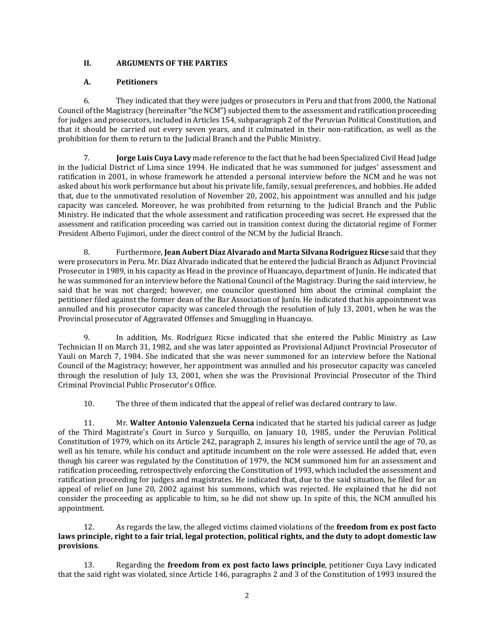## **II. ARGUMENTS OF THE PARTIES**

## **A. Petitioners**

6. They indicated that they were judges or prosecutors in Peru and that from 2000, the National Council ofthe Magistracy (hereinafter "the NCM") subjected them to the assessment and ratification proceeding for judges and prosecutors, included in Articles 154, subparagraph 2 of the Peruvian Political Constitution, and that it should be carried out every seven years, and it culminated in their non-ratification, as well as the prohibition for them to return to the Judicial Branch and the Public Ministry.

7. **Jorge Luis Cuya Lavy** made reference to the fact that he had been Specialized Civil Head Judge in the Judicial District of Lima since 1994. He indicated that he was summoned for judges' assessment and ratification in 2001, in whose framework he attended a personal interview before the NCM and he was not asked about his work performance but about his private life, family, sexual preferences, and hobbies. He added that, due to the unmotivated resolution of November 20, 2002, his appointment was annulled and his judge capacity was canceled. Moreover, he was prohibited from returning to the Judicial Branch and the Public Ministry. He indicated that the whole assessment and ratification proceeding was secret. He expressed that the assessment and ratification proceeding was carried out in transition context during the dictatorial regime of Former President Alberto Fujimori, under the direct control of the NCM by the Judicial Branch.

8. Furthermore, **Jean Aubert Díaz Alvarado and Marta Silvana Rodriguez Ricse** said that they were prosecutors in Peru. Mr. Díaz Alvarado indicated that he entered the Judicial Branch as Adjunct Provincial Prosecutor in 1989, in his capacity as Head in the province of Huancayo, department of Junín. He indicated that he was summoned for an interview before the National Council of the Magistracy. During the said interview, he said that he was not charged; however, one councilor questioned him about the criminal complaint the petitioner filed against the former dean of the Bar Association of Junín. He indicated that his appointment was annulled and his prosecutor capacity was canceled through the resolution of July 13, 2001, when he was the Provincial prosecutor of Aggravated Offenses and Smuggling in Huancayo.

9. In addition, Ms. Rodríguez Ricse indicated that she entered the Public Ministry as Law Technician II on March 31, 1982, and she was later appointed as Provisional Adjunct Provincial Prosecutor of Yauli on March 7, 1984. She indicated that she was never summoned for an interview before the National Council of the Magistracy; however, her appointment was annulled and his prosecutor capacity was canceled through the resolution of July 13, 2001, when she was the Provisional Provincial Prosecutor of the Third Criminal Provincial Public Prosecutor's Office.

10. The three of them indicated that the appeal of relief was declared contrary to law.

11. Mr. **Walter Antonio Valenzuela Cerna** indicated that he started his judicial career as Judge of the Third Magistrate's Court in Surco y Surquillo, on January 10, 1985, under the Peruvian Political Constitution of 1979, which on its Article 242, paragraph 2, insures his length of service until the age of 70, as well as his tenure, while his conduct and aptitude incumbent on the role were assessed. He added that, even though his career was regulated by the Constitution of 1979, the NCM summoned him for an assessment and ratification proceeding, retrospectively enforcing the Constitution of 1993, which included the assessment and ratification proceeding for judges and magistrates. He indicated that, due to the said situation, he filed for an appeal of relief on June 20, 2002 against his summons, which was rejected. He explained that he did not consider the proceeding as applicable to him, so he did not show up. In spite of this, the NCM annulled his appointment.

12. As regards the law, the alleged victims claimed violations of the **freedom from ex post facto** laws principle, right to a fair trial, legal protection, political rights, and the duty to adopt domestic law **provisions**.

13. Regarding the **freedom from ex post facto laws principle**, petitioner Cuya Lavy indicated that the said right was violated, since Article 146, paragraphs 2 and 3 of the Constitution of 1993 insured the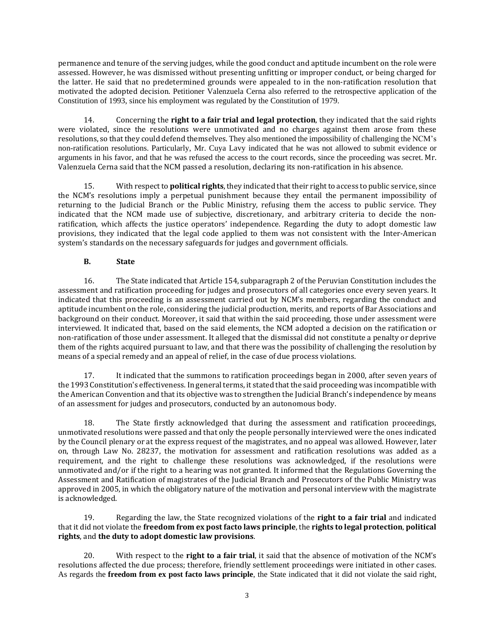permanence and tenure of the serving judges, while the good conduct and aptitude incumbent on the role were assessed. However, he was dismissed without presenting unfitting or improper conduct, or being charged for the latter. He said that no predetermined grounds were appealed to in the non-ratification resolution that motivated the adopted decision. Petitioner Valenzuela Cerna also referred to the retrospective application of the Constitution of 1993, since his employment was regulated by the Constitution of 1979.

14. Concerning the **right to a fair trial and legal protection**, they indicated that the said rights were violated, since the resolutions were unmotivated and no charges against them arose from these resolutions, so thatthey could defend themselves. They also mentioned the impossibility of challenging the NCM's non-ratification resolutions. Particularly, Mr. Cuya Lavy indicated that he was not allowed to submit evidence or arguments in his favor, and that he was refused the access to the court records, since the proceeding was secret. Mr. Valenzuela Cerna said that the NCM passed a resolution, declaring its non-ratification in his absence.

15. With respect to **political rights**, they indicated that their right to access to public service, since the NCM's resolutions imply a perpetual punishment because they entail the permanent impossibility of returning to the Judicial Branch or the Public Ministry, refusing them the access to public service. They indicated that the NCM made use of subjective, discretionary, and arbitrary criteria to decide the nonratification, which affects the justice operators' independence. Regarding the duty to adopt domestic law provisions, they indicated that the legal code applied to them was not consistent with the Inter-American system's standards on the necessary safeguards for judges and government officials.

# **B. State**

16. The State indicated that Article 154, subparagraph 2 of the Peruvian Constitution includes the assessment and ratification proceeding for judges and prosecutors of all categories once every seven years. It indicated that this proceeding is an assessment carried out by NCM's members, regarding the conduct and aptitude incumbent on the role, considering the judicial production, merits, and reports of Bar Associations and background on their conduct. Moreover, it said that within the said proceeding, those under assessment were interviewed. It indicated that, based on the said elements, the NCM adopted a decision on the ratification or non-ratification of those under assessment. It alleged that the dismissal did not constitute a penalty or deprive them of the rights acquired pursuant to law, and that there was the possibility of challenging the resolution by means of a special remedy and an appeal of relief, in the case of due process violations.

17. It indicated that the summons to ratification proceedings began in 2000, after seven years of the 1993 Constitution's effectiveness. In general terms, it stated thatthe said proceeding was incompatible with the American Convention and that its objective was to strengthen the Judicial Branch's independence by means of an assessment for judges and prosecutors, conducted by an autonomous body.

18. The State firstly acknowledged that during the assessment and ratification proceedings, unmotivated resolutions were passed and that only the people personally interviewed were the ones indicated by the Council plenary or at the express request of the magistrates, and no appeal was allowed. However, later on, through Law No. 28237, the motivation for assessment and ratification resolutions was added as a requirement, and the right to challenge these resolutions was acknowledged, if the resolutions were unmotivated and/or if the right to a hearing was not granted. It informed that the Regulations Governing the Assessment and Ratification of magistrates of the Judicial Branch and Prosecutors of the Public Ministry was approved in 2005, in which the obligatory nature of the motivation and personal interview with the magistrate is acknowledged.

19. Regarding the law, the State recognized violations of the **right to a fair trial** and indicated that it did not violate the **freedom from ex post facto laws principle**, the **rights to legal protection**, **political rights**, and **the duty to adopt domestic law provisions**.

20. With respect to the **right to a fair trial**, it said that the absence of motivation of the NCM's resolutions affected the due process; therefore, friendly settlement proceedings were initiated in other cases. As regards the **freedom from ex post facto laws principle**, the State indicated that it did not violate the said right,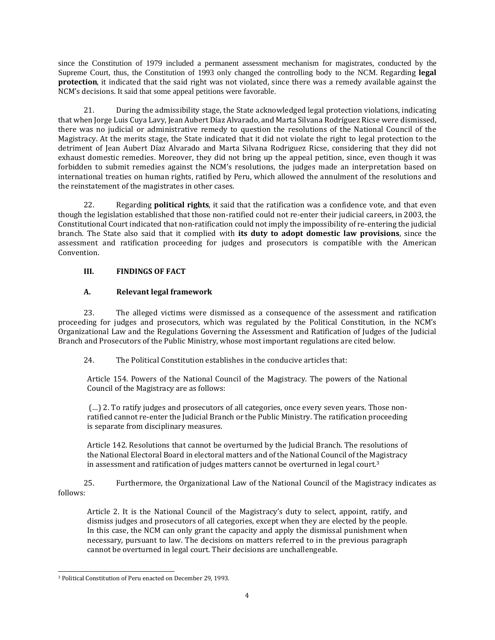since the Constitution of 1979 included a permanent assessment mechanism for magistrates, conducted by the Supreme Court, thus, the Constitution of 1993 only changed the controlling body to the NCM. Regarding **legal protection**, it indicated that the said right was not violated, since there was a remedy available against the NCM's decisions. It said that some appeal petitions were favorable.

21. During the admissibility stage, the State acknowledged legal protection violations, indicating that when Jorge Luis Cuya Lavy, Jean Aubert Díaz Alvarado, and Marta Silvana Rodríguez Ricse were dismissed, there was no judicial or administrative remedy to question the resolutions of the National Council of the Magistracy. At the merits stage, the State indicated that it did not violate the right to legal protection to the detriment of Jean Aubert Díaz Alvarado and Marta Silvana Rodriguez Ricse, considering that they did not exhaust domestic remedies. Moreover, they did not bring up the appeal petition, since, even though it was forbidden to submit remedies against the NCM's resolutions, the judges made an interpretation based on international treaties on human rights, ratified by Peru, which allowed the annulment of the resolutions and the reinstatement of the magistrates in other cases.

22. Regarding **political rights**, it said that the ratification was a confidence vote, and that even though the legislation established that those non-ratified could not re-enter their judicial careers, in 2003, the Constitutional Court indicated that non-ratification could not imply the impossibility of re-entering the judicial branch. The State also said that it complied with **its duty to adopt domestic law provisions**, since the assessment and ratification proceeding for judges and prosecutors is compatible with the American Convention.

# **III. FINDINGS OF FACT**

# **A. Relevant legal framework**

23. The alleged victims were dismissed as a consequence of the assessment and ratification proceeding for judges and prosecutors, which was regulated by the Political Constitution, in the NCM's Organizational Law and the Regulations Governing the Assessment and Ratification of Judges of the Judicial Branch and Prosecutors of the Public Ministry, whose most important regulations are cited below.

24. The Political Constitution establishes in the conducive articles that:

Article 154. Powers of the National Council of the Magistracy. The powers of the National Council of the Magistracy are as follows:

(…) 2. To ratify judges and prosecutors of all categories, once every seven years. Those nonratified cannot re-enter the Judicial Branch or the Public Ministry. The ratification proceeding is separate from disciplinary measures.

Article 142. Resolutions that cannot be overturned by the Judicial Branch. The resolutions of the National Electoral Board in electoral matters and of the National Council of the Magistracy in assessment and ratification of judges matters cannot be overturned in legal court.<sup>3</sup>

25. Furthermore, the Organizational Law of the National Council of the Magistracy indicates as follows:

Article 2. It is the National Council of the Magistracy's duty to select, appoint, ratify, and dismiss judges and prosecutors of all categories, except when they are elected by the people. In this case, the NCM can only grant the capacity and apply the dismissal punishment when necessary, pursuant to law. The decisions on matters referred to in the previous paragraph cannot be overturned in legal court. Their decisions are unchallengeable.

<sup>3</sup> Political Constitution of Peru enacted on December 29, 1993.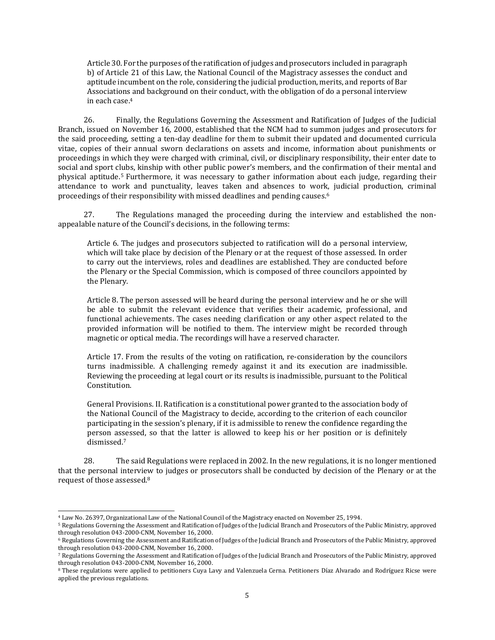Article 30. For the purposes ofthe ratification of judges and prosecutors included in paragraph b) of Article 21 of this Law, the National Council of the Magistracy assesses the conduct and aptitude incumbent on the role, considering the judicial production, merits, and reports of Bar Associations and background on their conduct, with the obligation of do a personal interview in each case.<sup>4</sup>

26. Finally, the Regulations Governing the Assessment and Ratification of Judges of the Judicial Branch, issued on November 16, 2000, established that the NCM had to summon judges and prosecutors for the said proceeding, setting a ten-day deadline for them to submit their updated and documented curricula vitae, copies of their annual sworn declarations on assets and income, information about punishments or proceedings in which they were charged with criminal, civil, or disciplinary responsibility, their enter date to social and sport clubs, kinship with other public power's members, and the confirmation of their mental and physical aptitude.<sup>5</sup> Furthermore, it was necessary to gather information about each judge, regarding their attendance to work and punctuality, leaves taken and absences to work, judicial production, criminal proceedings of their responsibility with missed deadlines and pending causes.<sup>6</sup>

27. The Regulations managed the proceeding during the interview and established the nonappealable nature of the Council's decisions, in the following terms:

Article 6. The judges and prosecutors subjected to ratification will do a personal interview, which will take place by decision of the Plenary or at the request of those assessed. In order to carry out the interviews, roles and deadlines are established. They are conducted before the Plenary or the Special Commission, which is composed of three councilors appointed by the Plenary.

Article 8. The person assessed will be heard during the personal interview and he or she will be able to submit the relevant evidence that verifies their academic, professional, and functional achievements. The cases needing clarification or any other aspect related to the provided information will be notified to them. The interview might be recorded through magnetic or optical media. The recordings will have a reserved character.

Article 17. From the results of the voting on ratification, re-consideration by the councilors turns inadmissible. A challenging remedy against it and its execution are inadmissible. Reviewing the proceeding at legal court or its results is inadmissible, pursuant to the Political Constitution.

General Provisions. II. Ratification is a constitutional power granted to the association body of the National Council of the Magistracy to decide, according to the criterion of each councilor participating in the session's plenary, if it is admissible to renew the confidence regarding the person assessed, so that the latter is allowed to keep his or her position or is definitely dismissed.<sup>7</sup>

28. The said Regulations were replaced in 2002. In the new regulations, it is no longer mentioned that the personal interview to judges or prosecutors shall be conducted by decision of the Plenary or at the request of those assessed.<sup>8</sup>

<sup>4</sup> Law No. 26397, Organizational Law of the National Council of the Magistracy enacted on November 25, 1994.

<sup>5</sup> Regulations Governing the Assessment and Ratification of Judges of the Judicial Branch and Prosecutors of the Public Ministry, approved through resolution 043-2000-CNM, November 16, 2000.

<sup>6</sup> Regulations Governing the Assessment and Ratification of Judges of the Judicial Branch and Prosecutors of the Public Ministry, approved through resolution 043-2000-CNM, November 16, 2000.

<sup>7</sup> Regulations Governing the Assessment and Ratification of Judges of the Judicial Branch and Prosecutors of the Public Ministry, approved through resolution 043-2000-CNM, November 16, 2000.

<sup>8</sup> These regulations were applied to petitioners Cuya Lavy and Valenzuela Cerna. Petitioners Díaz Alvarado and Rodríguez Ricse were applied the previous regulations.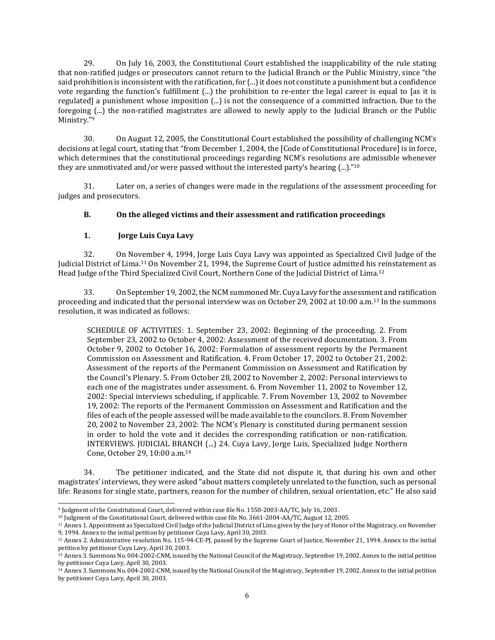29. On July 16, 2003, the Constitutional Court established the inapplicability of the rule stating that non-ratified judges or prosecutors cannot return to the Judicial Branch or the Public Ministry, since "the said prohibition is inconsistent with the ratification, for  $(...)$  it does not constitute a punishment but a confidence vote regarding the function's fulfillment (...) the prohibition to re-enter the legal career is equal to [as it is regulated] a punishment whose imposition (...) is not the consequence of a committed infraction. Due to the foregoing (...) the non-ratified magistrates are allowed to newly apply to the Judicial Branch or the Public Ministry."9

30. On August 12, 2005, the Constitutional Court established the possibility of challenging NCM's decisions at legal court, stating that "from December 1, 2004, the [Code of Constitutional Procedure] is in force, which determines that the constitutional proceedings regarding NCM's resolutions are admissible whenever they are unmotivated and/or were passed without the interested party's hearing (...)."<sup>10</sup>

31. Later on, a series of changes were made in the regulations of the assessment proceeding for judges and prosecutors.

## **B. On the alleged victims and their assessment and ratification proceedings**

## **1. Jorge Luis Cuya Lavy**

32. On November 4, 1994, Jorge Luis Cuya Lavy was appointed as Specialized Civil Judge of the Judicial District of Lima.<sup>11</sup> On November 21, 1994, the Supreme Court of Justice admitted his reinstatement as Head Judge of the Third Specialized Civil Court, Northern Cone of the Judicial District of Lima.<sup>12</sup>

33. On September 19, 2002, the NCM summoned Mr. Cuya Lavy for the assessment and ratification proceeding and indicated that the personal interview was on October 29, 2002 at 10:00 a.m.<sup>13</sup> In the summons resolution, it was indicated as follows:

SCHEDULE OF ACTIVITIES: 1. September 23, 2002: Beginning of the proceeding. 2. From September 23, 2002 to October 4, 2002: Assessment of the received documentation. 3. From October 9, 2002 to October 16, 2002: Formulation of assessment reports by the Permanent Commission on Assessment and Ratification. 4. From October 17, 2002 to October 21, 2002: Assessment of the reports of the Permanent Commission on Assessment and Ratification by the Council's Plenary. 5. From October 28, 2002 to November 2, 2002: Personal interviews to each one of the magistrates under assessment. 6. From November 11, 2002 to November 12, 2002: Special interviews scheduling, if applicable. 7. From November 13, 2002 to November 19, 2002: The reports of the Permanent Commission on Assessment and Ratification and the files of each of the people assessed will be made available to the councilors. 8. From November 20, 2002 to November 23, 2002: The NCM's Plenary is constituted during permanent session in order to hold the vote and it decides the corresponding ratification or non-ratification. INTERVIEWS. JUDICIAL BRANCH (...) 24. Cuya Lavy, Jorge Luis, Specialized Judge Northern Cone, October 29, 10:00 a.m. 14

34. The petitioner indicated, and the State did not dispute it, that during his own and other magistrates' interviews, they were asked "about matters completely unrelated to the function, such as personal life: Reasons for single state, partners, reason for the number of children, sexual orientation, etc." He also said

<sup>9</sup> Judgment of the Constitutional Court, delivered within case file No. 1550-2003-AA/TC, July 16, 2003.

<sup>10</sup> Judgment of the Constitutional Court, delivered within case file No. 3661-2004-AA/TC, August 12, 2005.

<sup>11</sup> Annex 1. Appointment as Specialized Civil Judge ofthe Judicial District of Lima given by the Jury of Honor of the Magistracy, on November 9, 1994. Annex to the initial petition by petitioner Cuya Lavy, April 30, 2003.

<sup>12</sup> Annex 2. Administrative resolution No. 115-94-CE-PJ, passed by the Supreme Court of Justice, November 21, 1994. Annex to the initial petition by petitioner Cuya Lavy, April 30, 2003.

<sup>&</sup>lt;sup>13</sup> Annex 3. Summons No. 004-2002-CNM, issued by the National Council of the Magistracy, September 19, 2002. Annex to the initial petition by petitioner Cuya Lavy, April 30, 2003.

<sup>14</sup> Annex 3. SummonsNo. 004-2002-CNM, issued by the National Council of the Magistracy, September 19, 2002. Annex to the initial petition by petitioner Cuya Lavy, April 30, 2003.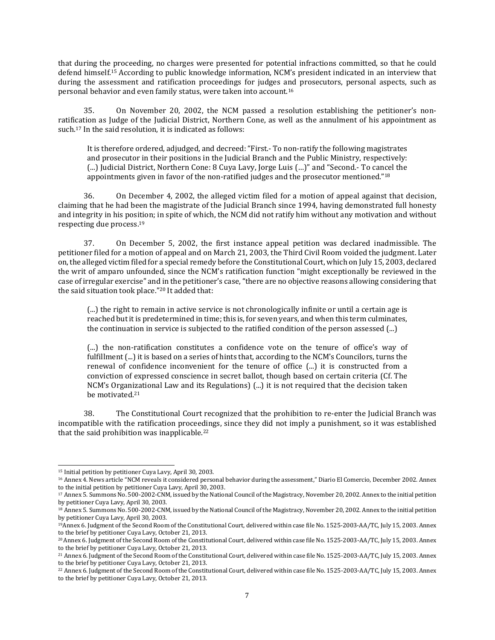that during the proceeding, no charges were presented for potential infractions committed, so that he could defend himself.<sup>15</sup> According to public knowledge information, NCM's president indicated in an interview that during the assessment and ratification proceedings for judges and prosecutors, personal aspects, such as personal behavior and even family status, were taken into account.<sup>16</sup>

35. On November 20, 2002, the NCM passed a resolution establishing the petitioner's nonratification as Judge of the Judicial District, Northern Cone, as well as the annulment of his appointment as such.<sup>17</sup> In the said resolution, it is indicated as follows:

It is therefore ordered, adjudged, and decreed: "First.- To non-ratify the following magistrates and prosecutor in their positions in the Judicial Branch and the Public Ministry, respectively: (...) Judicial District, Northern Cone: 8 Cuya Lavy, Jorge Luis (…)" and "Second.- To cancel the appointments given in favor of the non-ratified judges and the prosecutor mentioned."<sup>18</sup>

36. On December 4, 2002, the alleged victim filed for a motion of appeal against that decision, claiming that he had been the magistrate of the Judicial Branch since 1994, having demonstrated full honesty and integrity in his position; in spite of which, the NCM did not ratify him without any motivation and without respecting due process.<sup>19</sup>

37. On December 5, 2002, the first instance appeal petition was declared inadmissible. The petitioner filed for a motion of appeal and on March 21, 2003, the Third Civil Room voided the judgment. Later on,the alleged victim filed for a special remedy before the Constitutional Court, which on July 15, 2003, declared the writ of amparo unfounded, since the NCM's ratification function "might exceptionally be reviewed in the case of irregular exercise" and in the petitioner's case,"there are no objective reasons allowing considering that the said situation took place."<sup>20</sup> It added that:

(...) the right to remain in active service is not chronologically infinite or until a certain age is reached but it is predetermined in time; this is, for seven years, and when this term culminates, the continuation in service is subjected to the ratified condition of the person assessed (...)

(...) the non-ratification constitutes a confidence vote on the tenure of office's way of fulfillment (...) it is based on a series of hints that, according to the NCM's Councilors, turns the renewal of confidence inconvenient for the tenure of office (...) it is constructed from a conviction of expressed conscience in secret ballot, though based on certain criteria (Cf. The NCM's Organizational Law and its Regulations) (...) it is not required that the decision taken be motivated.<sup>21</sup>

38. The Constitutional Court recognized that the prohibition to re-enter the Judicial Branch was incompatible with the ratification proceedings, since they did not imply a punishment, so it was established that the said prohibition was inapplicable. $22$ 

<sup>15</sup> Initial petition by petitioner Cuya Lavy, April 30, 2003.

<sup>16</sup> Annex 4. News article "NCM reveals it considered personal behavior during the assessment," Diario El Comercio, December 2002. Annex to the initial petition by petitioner Cuya Lavy, April 30, 2003.

<sup>&</sup>lt;sup>17</sup> Annex 5. Summons No. 500-2002-CNM, issued by the National Council of the Magistracy, November 20, 2002. Annex to the initial petition by petitioner Cuya Lavy, April 30, 2003.

<sup>&</sup>lt;sup>18</sup> Annex 5. Summons No. 500-2002-CNM, issued by the National Council of the Magistracy, November 20, 2002. Annex to the initial petition by petitioner Cuya Lavy, April 30, 2003.

<sup>19</sup>Annex 6. Judgment of the Second Room of the Constitutional Court, delivered within case file No. 1525-2003-AA/TC, July 15, 2003. Annex to the brief by petitioner Cuya Lavy, October 21, 2013.

<sup>20</sup>Annex 6. Judgment of the Second Room of the Constitutional Court, delivered within case fileNo. 1525-2003-AA/TC, July 15, 2003. Annex to the brief by petitioner Cuya Lavy, October 21, 2013.

<sup>21</sup> Annex 6. Judgment of the Second Room of the Constitutional Court, delivered within case fileNo. 1525-2003-AA/TC, July 15, 2003. Annex to the brief by petitioner Cuya Lavy, October 21, 2013.

<sup>22</sup> Annex 6. Judgment of the Second Room of the Constitutional Court, delivered within case fileNo. 1525-2003-AA/TC, July 15, 2003. Annex to the brief by petitioner Cuya Lavy, October 21, 2013.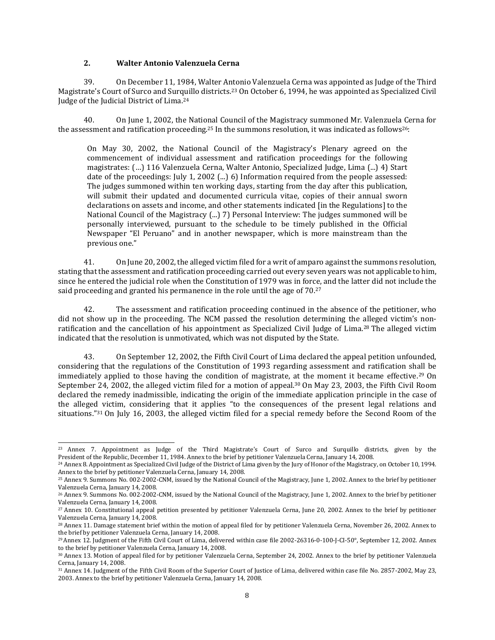#### **2. Walter Antonio Valenzuela Cerna**

39. On December 11, 1984, Walter Antonio Valenzuela Cerna was appointed as Judge of the Third Magistrate's Court of Surco and Surquillo districts.<sup>23</sup> On October 6, 1994, he was appointed as Specialized Civil Judge of the Judicial District of Lima.<sup>24</sup>

40. On June 1, 2002, the National Council of the Magistracy summoned Mr. Valenzuela Cerna for the assessment and ratification proceeding.<sup>25</sup> In the summons resolution, it was indicated as follows<sup>26</sup>:

On May 30, 2002, the National Council of the Magistracy's Plenary agreed on the commencement of individual assessment and ratification proceedings for the following magistrates: (…) 116 Valenzuela Cerna, Walter Antonio, Specialized Judge, Lima (...) 4) Start date of the proceedings: July 1, 2002 (...) 6) Information required from the people assessed: The judges summoned within ten working days, starting from the day after this publication, will submit their updated and documented curricula vitae, copies of their annual sworn declarations on assets and income, and other statements indicated [in the Regulations] to the National Council of the Magistracy (...) 7) Personal Interview: The judges summoned will be personally interviewed, pursuant to the schedule to be timely published in the Official Newspaper "El Peruano" and in another newspaper, which is more mainstream than the previous one."

41. On June 20, 2002, the alleged victim filed for a writ of amparo against the summons resolution, stating that the assessment and ratification proceeding carried out every seven years was not applicable to him, since he entered the judicial role when the Constitution of 1979 was in force, and the latter did not include the said proceeding and granted his permanence in the role until the age of 70.<sup>27</sup>

42. The assessment and ratification proceeding continued in the absence of the petitioner, who did not show up in the proceeding. The NCM passed the resolution determining the alleged victim's nonratification and the cancellation of his appointment as Specialized Civil Judge of Lima.<sup>28</sup> The alleged victim indicated that the resolution is unmotivated, which was not disputed by the State.

43. On September 12, 2002, the Fifth Civil Court of Lima declared the appeal petition unfounded, considering that the regulations of the Constitution of 1993 regarding assessment and ratification shall be immediately applied to those having the condition of magistrate, at the moment it became effective.<sup>29</sup> On September 24, 2002, the alleged victim filed for a motion of appeal.<sup>30</sup> On May 23, 2003, the Fifth Civil Room declared the remedy inadmissible, indicating the origin of the immediate application principle in the case of the alleged victim, considering that it applies "to the consequences of the present legal relations and situations."<sup>31</sup> On July 16, 2003, the alleged victim filed for a special remedy before the Second Room of the

<sup>23</sup> Annex 7. Appointment as Judge of the Third Magistrate's Court of Surco and Surquillo districts, given by the President of the Republic, December 11, 1984. Annex to the brief by petitioner Valenzuela Cerna, January 14, 2008.

<sup>24</sup> Annex 8. Appointment as Specialized Civil Judge of the District of Lima given by the Jury of Honor of the Magistracy, on October 10, 1994. Annex to the brief by petitioner Valenzuela Cerna, January 14, 2008.

<sup>25</sup> Annex 9. Summons No. 002-2002-CNM, issued by the National Council of the Magistracy, June 1, 2002. Annex to the brief by petitioner Valenzuela Cerna, January 14, 2008.

<sup>26</sup> Annex 9. Summons No. 002-2002-CNM, issued by the National Council of the Magistracy, June 1, 2002. Annex to the brief by petitioner Valenzuela Cerna, January 14, 2008.

<sup>27</sup> Annex 10. Constitutional appeal petition presented by petitioner Valenzuela Cerna, June 20, 2002. Annex to the brief by petitioner Valenzuela Cerna, January 14, 2008.

<sup>28</sup> Annex 11. Damage statement brief within the motion of appeal filed for by petitioner Valenzuela Cerna, November 26, 2002. Annex to the brief by petitioner Valenzuela Cerna, January 14, 2008.

<sup>29</sup>Annex 12. Judgment of the Fifth Civil Court of Lima, delivered within case file 2002-26316-0-100-J-CI-50°, September 12, 2002. Annex to the brief by petitioner Valenzuela Cerna, January 14, 2008.

<sup>30</sup> Annex 13. Motion of appeal filed for by petitioner Valenzuela Cerna, September 24, 2002. Annex to the brief by petitioner Valenzuela Cerna, January 14, 2008.

<sup>31</sup> Annex 14. Judgment of the Fifth Civil Room of the Superior Court of Justice of Lima, delivered within case file No. 2857-2002, May 23, 2003. Annex to the brief by petitioner Valenzuela Cerna, January 14, 2008.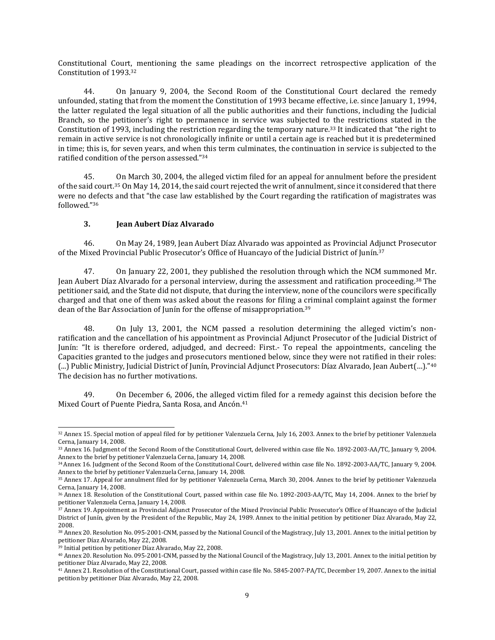Constitutional Court, mentioning the same pleadings on the incorrect retrospective application of the Constitution of 1993.<sup>32</sup>

44. On January 9, 2004, the Second Room of the Constitutional Court declared the remedy unfounded, stating that from the moment the Constitution of 1993 became effective, i.e. since January 1, 1994, the latter regulated the legal situation of all the public authorities and their functions, including the Judicial Branch, so the petitioner's right to permanence in service was subjected to the restrictions stated in the Constitution of 1993, including the restriction regarding the temporary nature.<sup>33</sup> It indicated that "the right to remain in active service is not chronologically infinite or until a certain age is reached but it is predetermined in time; this is, for seven years, and when this term culminates, the continuation in service is subjected to the ratified condition of the person assessed."<sup>34</sup>

45. On March 30, 2004, the alleged victim filed for an appeal for annulment before the president ofthe said court.<sup>35</sup> On May 14, 2014, the said court rejected the writ of annulment, since it considered that there were no defects and that "the case law established by the Court regarding the ratification of magistrates was followed."<sup>36</sup>

## **3. Jean Aubert Díaz Alvarado**

46. On May 24, 1989, Jean Aubert Díaz Alvarado was appointed as Provincial Adjunct Prosecutor of the Mixed Provincial Public Prosecutor's Office of Huancayo of the Judicial District of Junín.<sup>37</sup>

47. On January 22, 2001, they published the resolution through which the NCM summoned Mr. Jean Aubert Díaz Alvarado for a personal interview, during the assessment and ratification proceeding.<sup>38</sup> The petitioner said, and the State did not dispute, that during the interview, none of the councilors were specifically charged and that one of them was asked about the reasons for filing a criminal complaint against the former dean of the Bar Association of Junín for the offense of misappropriation.<sup>39</sup>

48. On July 13, 2001, the NCM passed a resolution determining the alleged victim's nonratification and the cancellation of his appointment as Provincial Adjunct Prosecutor of the Judicial District of Junín: "It is therefore ordered, adjudged, and decreed: First.- To repeal the appointments, canceling the Capacities granted to the judges and prosecutors mentioned below, since they were not ratified in their roles: (...) Public Ministry, Judicial District of Junín, Provincial Adjunct Prosecutors: Díaz Alvarado, Jean Aubert(…)."<sup>40</sup> The decision has no further motivations.

49. On December 6, 2006, the alleged victim filed for a remedy against this decision before the Mixed Court of Puente Piedra, Santa Rosa, and Ancón.<sup>41</sup>

<sup>32</sup> Annex 15. Special motion of appeal filed for by petitioner Valenzuela Cerna, July 16, 2003. Annex to the brief by petitioner Valenzuela Cerna, January 14, 2008.

<sup>33</sup> Annex 16. Judgment of the Second Room of the Constitutional Court, delivered within case file No. 1892-2003-AA/TC, January 9, 2004. Annex to the brief by petitioner Valenzuela Cerna, January 14, 2008.

<sup>34</sup>Annex 16. Judgment of the Second Room of the Constitutional Court, delivered within case file No. 1892-2003-AA/TC, January 9, 2004. Annex to the brief by petitioner Valenzuela Cerna, January 14, 2008.

<sup>35</sup> Annex 17. Appeal for annulment filed for by petitioner Valenzuela Cerna, March 30, 2004. Annex to the brief by petitioner Valenzuela Cerna, January 14, 2008.

<sup>36</sup> Annex 18. Resolution of the Constitutional Court, passed within case file No. 1892-2003-AA/TC, May 14, 2004. Annex to the brief by petitioner Valenzuela Cerna, January 14, 2008.

<sup>37</sup> Annex 19. Appointment as Provincial Adjunct Prosecutor of the Mixed Provincial Public Prosecutor's Office of Huancayo of the Judicial District of Junín, given by the President of the Republic, May 24, 1989. Annex to the initial petition by petitioner Díaz Alvarado, May 22, 2008.

<sup>38</sup> Annex 20. Resolution No. 095-2001-CNM, passed by the National Council of the Magistracy, July 13, 2001. Annex to the initial petition by petitioner Díaz Alvarado, May 22, 2008.

<sup>39</sup> Initial petition by petitioner Díaz Alvarado, May 22, 2008.

<sup>40</sup> Annex 20. Resolution No. 095-2001-CNM, passed by the National Council of the Magistracy, July 13, 2001. Annex to the initial petition by petitioner Díaz Alvarado, May 22, 2008.

<sup>41</sup> Annex 21. Resolution of the Constitutional Court, passed within case file No. 5845-2007-PA/TC, December 19, 2007. Annex to the initial petition by petitioner Díaz Alvarado, May 22, 2008.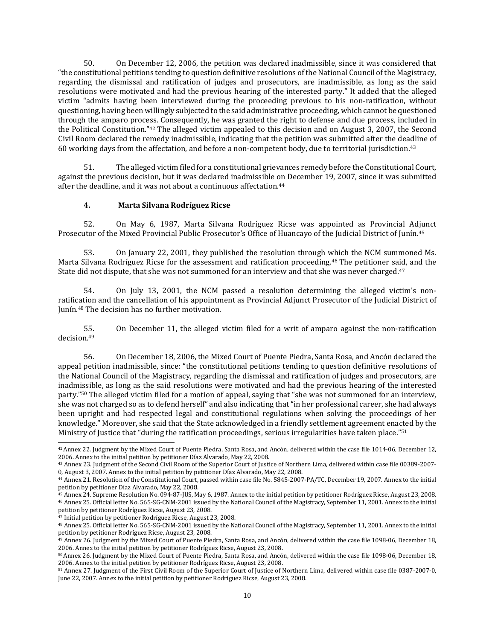50. On December 12, 2006, the petition was declared inadmissible, since it was considered that "the constitutional petitions tending to question definitive resolutions ofthe National Council of the Magistracy, regarding the dismissal and ratification of judges and prosecutors, are inadmissible, as long as the said resolutions were motivated and had the previous hearing of the interested party." It added that the alleged victim "admits having been interviewed during the proceeding previous to his non-ratification, without questioning, having been willingly subjected to the said administrative proceeding, which cannot be questioned through the amparo process. Consequently, he was granted the right to defense and due process, included in the Political Constitution."<sup>42</sup> The alleged victim appealed to this decision and on August 3, 2007, the Second Civil Room declared the remedy inadmissible, indicating that the petition was submitted after the deadline of 60 working days from the affectation, and before a non-competent body, due to territorial jurisdiction.<sup>43</sup>

51. The alleged victim filed for a constitutional grievances remedy before the Constitutional Court, against the previous decision, but it was declared inadmissible on December 19, 2007, since it was submitted after the deadline, and it was not about a continuous affectation.<sup>44</sup>

#### **4. Marta Silvana Rodríguez Ricse**

52. On May 6, 1987, Marta Silvana Rodríguez Ricse was appointed as Provincial Adjunct Prosecutor of the Mixed Provincial Public Prosecutor's Office of Huancayo of the Judicial District of Junín.<sup>45</sup>

53. On January 22, 2001, they published the resolution through which the NCM summoned Ms. Marta Silvana Rodríguez Ricse for the assessment and ratification proceeding.<sup>46</sup> The petitioner said, and the State did not dispute, that she was not summoned for an interview and that she was never charged.<sup>47</sup>

54. On July 13, 2001, the NCM passed a resolution determining the alleged victim's nonratification and the cancellation of his appointment as Provincial Adjunct Prosecutor of the Judicial District of Junín.<sup>48</sup> The decision has no further motivation.

55. On December 11, the alleged victim filed for a writ of amparo against the non-ratification decision.<sup>49</sup>

56. On December 18, 2006, the Mixed Court of Puente Piedra, Santa Rosa, and Ancón declared the appeal petition inadmissible, since: "the constitutional petitions tending to question definitive resolutions of the National Council of the Magistracy, regarding the dismissal and ratification of judges and prosecutors, are inadmissible, as long as the said resolutions were motivated and had the previous hearing of the interested party."<sup>50</sup> The alleged victim filed for a motion of appeal, saying that "she was not summoned for an interview, she was not charged so as to defend herself" and also indicating that "in her professional career, she had always been upright and had respected legal and constitutional regulations when solving the proceedings of her knowledge." Moreover, she said that the State acknowledged in a friendly settlement agreement enacted by the Ministry of Justice that "during the ratification proceedings, serious irregularities have taken place."<sup>51</sup>

<sup>42</sup>Annex 22. Judgment by the Mixed Court of Puente Piedra, Santa Rosa, and Ancón, delivered within the case file 1014-06, December 12, 2006. Annex to the initial petition by petitioner Díaz Alvarado, May 22, 2008.

<sup>43</sup> Annex 23. Judgment of the Second Civil Room of the Superior Court of Justice of Northern Lima, delivered within case file 00389-2007- 0, August 3, 2007. Annex to the initial petition by petitioner Díaz Alvarado, May 22, 2008.

<sup>44</sup> Annex 21. Resolution of the Constitutional Court, passed within case file No. 5845-2007-PA/TC, December 19, 2007. Annex to the initial petition by petitioner Díaz Alvarado, May 22, 2008.

<sup>45</sup> Annex 24. Supreme Resolution No. 094-87-JUS, May 6, 1987. Annex to the initial petition by petitioner Rodríguez Ricse, August 23, 2008. <sup>46</sup> Annex 25. Official letter No. 565-SG-CNM-2001 issued by the National Council of the Magistracy, September 11, 2001. Annex to the initial petition by petitioner Rodríguez Ricse, August 23, 2008.

<sup>47</sup> Initial petition by petitioner Rodríguez Ricse, August 23, 2008.

<sup>48</sup> Annex 25. Official letter No. 565-SG-CNM-2001 issued by the National Council of the Magistracy, September 11, 2001. Annex to the initial petition by petitioner Rodríguez Ricse, August 23, 2008.

<sup>49</sup> Annex 26. Judgment by the Mixed Court of Puente Piedra, Santa Rosa, and Ancón, delivered within the case file 1098-06, December 18, 2006. Annex to the initial petition by petitioner Rodríguez Ricse, August 23, 2008.

<sup>50</sup>Annex 26. Judgment by the Mixed Court of Puente Piedra, Santa Rosa, and Ancón, delivered within the case file 1098-06, December 18, 2006. Annex to the initial petition by petitioner Rodríguez Ricse, August 23, 2008.

<sup>51</sup> Annex 27. Judgment of the First Civil Room of the Superior Court of Justice of Northern Lima, delivered within case file 0387-2007-0, June 22, 2007. Annex to the initial petition by petitioner Rodríguez Ricse, August 23, 2008.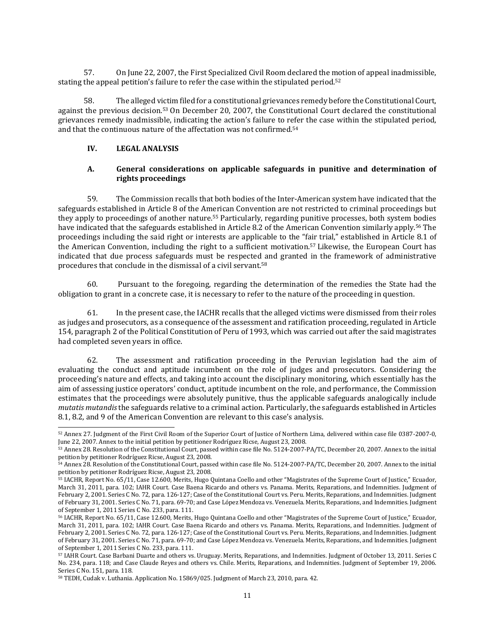57. On June 22, 2007, the First Specialized Civil Room declared the motion of appeal inadmissible, stating the appeal petition's failure to refer the case within the stipulated period.<sup>52</sup>

58. The alleged victim filed for a constitutional grievances remedy before the Constitutional Court, against the previous decision.<sup>53</sup> On December 20, 2007, the Constitutional Court declared the constitutional grievances remedy inadmissible, indicating the action's failure to refer the case within the stipulated period, and that the continuous nature of the affectation was not confirmed.<sup>54</sup>

## **IV. LEGAL ANALYSIS**

## **A. General considerations on applicable safeguards in punitive and determination of rights proceedings**

59. The Commission recalls that both bodies of the Inter-American system have indicated that the safeguards established in Article 8 of the American Convention are not restricted to criminal proceedings but they apply to proceedings of another nature.<sup>55</sup> Particularly, regarding punitive processes, both system bodies have indicated that the safeguards established in Article 8.2 of the American Convention similarly apply.<sup>56</sup> The proceedings including the said right or interests are applicable to the "fair trial," established in Article 8.1 of the American Convention, including the right to a sufficient motivation.<sup>57</sup> Likewise, the European Court has indicated that due process safeguards must be respected and granted in the framework of administrative procedures that conclude in the dismissal of a civil servant.<sup>58</sup>

60. Pursuant to the foregoing, regarding the determination of the remedies the State had the obligation to grant in a concrete case, it is necessary to refer to the nature of the proceeding in question.

61. In the present case, the IACHR recalls that the alleged victims were dismissed from their roles as judges and prosecutors, as a consequence of the assessment and ratification proceeding, regulated in Article 154, paragraph 2 of the Political Constitution of Peru of 1993, which was carried out after the said magistrates had completed seven years in office.

62. The assessment and ratification proceeding in the Peruvian legislation had the aim of evaluating the conduct and aptitude incumbent on the role of judges and prosecutors. Considering the proceeding's nature and effects, and taking into account the disciplinary monitoring, which essentially has the aim of assessing justice operators' conduct, aptitude incumbent on the role, and performance, the Commission estimates that the proceedings were absolutely punitive, thus the applicable safeguards analogically include *mutatis mutandis*the safeguards relative to a criminal action. Particularly, the safeguards established in Articles 8.1, 8.2, and 9 of the American Convention are relevant to this case's analysis.

<sup>52</sup> Annex 27. Judgment of the First Civil Room of the Superior Court of Justice of Northern Lima, delivered within case file 0387-2007-0, June 22, 2007. Annex to the initial petition by petitioner Rodríguez Ricse, August 23, 2008.

<sup>53</sup> Annex 28. Resolution of the Constitutional Court, passed within case file No. 5124-2007-PA/TC, December 20, 2007. Annex to the initial petition by petitioner Rodríguez Ricse, August 23, 2008.

<sup>54</sup> Annex 28. Resolution of the Constitutional Court, passed within case file No. 5124-2007-PA/TC, December 20, 2007. Annex to the initial petition by petitioner Rodríguez Ricse, August 23, 2008.

<sup>55</sup> IACHR, Report No. 65/11, Case 12.600, Merits, Hugo Quintana Coello and other "Magistrates of the Supreme Court of Justice," Ecuador, March 31, 2011, para. 102; IAHR Court. Case Baena [Ricardo](http://joomla.corteidh.or.cr:8080/joomla/es/casos-contenciosos/38-jurisprudencia/476-corte-idh-caso-baena-ricardo-y-otros-vs-panama-fondo-reparaciones-y-costas-sentencia-de-2-de-febrero-de-2001-serie-c-no-72) and others vs. [Panama.](http://joomla.corteidh.or.cr:8080/joomla/es/casos-contenciosos/38-jurisprudencia/476-corte-idh-caso-baena-ricardo-y-otros-vs-panama-fondo-reparaciones-y-costas-sentencia-de-2-de-febrero-de-2001-serie-c-no-72) Merits, [Reparations,](http://joomla.corteidh.or.cr:8080/joomla/es/casos-contenciosos/38-jurisprudencia/476-corte-idh-caso-baena-ricardo-y-otros-vs-panama-fondo-reparaciones-y-costas-sentencia-de-2-de-febrero-de-2001-serie-c-no-72) and Indemnities. [Judgment](http://joomla.corteidh.or.cr:8080/joomla/es/casos-contenciosos/38-jurisprudencia/476-corte-idh-caso-baena-ricardo-y-otros-vs-panama-fondo-reparaciones-y-costas-sentencia-de-2-de-febrero-de-2001-serie-c-no-72) of [February](http://joomla.corteidh.or.cr:8080/joomla/es/casos-contenciosos/38-jurisprudencia/476-corte-idh-caso-baena-ricardo-y-otros-vs-panama-fondo-reparaciones-y-costas-sentencia-de-2-de-febrero-de-2001-serie-c-no-72) 2, 2001. [Series](http://joomla.corteidh.or.cr:8080/joomla/es/casos-contenciosos/38-jurisprudencia/476-corte-idh-caso-baena-ricardo-y-otros-vs-panama-fondo-reparaciones-y-costas-sentencia-de-2-de-febrero-de-2001-serie-c-no-72) C No. 72, para. 126-127; Case of the [Constitutional](http://joomla.corteidh.or.cr:8080/joomla/es/casos-contenciosos/38-jurisprudencia/475-corte-idh-caso-del-tribunal-constitucional-vs-peru-fondo-reparaciones-y-costas-sentencia-de-31-de-enero-de-2001-serie-c-no-71) Court vs. [Peru.](http://joomla.corteidh.or.cr:8080/joomla/es/casos-contenciosos/38-jurisprudencia/475-corte-idh-caso-del-tribunal-constitucional-vs-peru-fondo-reparaciones-y-costas-sentencia-de-31-de-enero-de-2001-serie-c-no-71) Merits, [Reparations,](http://joomla.corteidh.or.cr:8080/joomla/es/casos-contenciosos/38-jurisprudencia/475-corte-idh-caso-del-tribunal-constitucional-vs-peru-fondo-reparaciones-y-costas-sentencia-de-31-de-enero-de-2001-serie-c-no-71) and Indemnities. [Judgment](http://joomla.corteidh.or.cr:8080/joomla/es/casos-contenciosos/38-jurisprudencia/475-corte-idh-caso-del-tribunal-constitucional-vs-peru-fondo-reparaciones-y-costas-sentencia-de-31-de-enero-de-2001-serie-c-no-71) of [February](http://joomla.corteidh.or.cr:8080/joomla/es/casos-contenciosos/38-jurisprudencia/475-corte-idh-caso-del-tribunal-constitucional-vs-peru-fondo-reparaciones-y-costas-sentencia-de-31-de-enero-de-2001-serie-c-no-71) 31, 2001. [Series](http://joomla.corteidh.or.cr:8080/joomla/es/casos-contenciosos/38-jurisprudencia/475-corte-idh-caso-del-tribunal-constitucional-vs-peru-fondo-reparaciones-y-costas-sentencia-de-31-de-enero-de-2001-serie-c-no-71) C No. 71, para. 69-70; and Case López [Mendoza](http://joomla.corteidh.or.cr:8080/joomla/es/casos-contenciosos/38-jurisprudencia/1450-corte-idh-caso-lopez-mendoza-vs-venezuela-fondo-reparaciones-y-costas-sentencia-de-1-de-septiembre-de-2011-serie-c-no-233) vs. [Venezuela.](http://joomla.corteidh.or.cr:8080/joomla/es/casos-contenciosos/38-jurisprudencia/1450-corte-idh-caso-lopez-mendoza-vs-venezuela-fondo-reparaciones-y-costas-sentencia-de-1-de-septiembre-de-2011-serie-c-no-233) Merits, [Reparations,](http://joomla.corteidh.or.cr:8080/joomla/es/casos-contenciosos/38-jurisprudencia/1450-corte-idh-caso-lopez-mendoza-vs-venezuela-fondo-reparaciones-y-costas-sentencia-de-1-de-septiembre-de-2011-serie-c-no-233) and Indemnities. [Judgment](http://joomla.corteidh.or.cr:8080/joomla/es/casos-contenciosos/38-jurisprudencia/1450-corte-idh-caso-lopez-mendoza-vs-venezuela-fondo-reparaciones-y-costas-sentencia-de-1-de-septiembre-de-2011-serie-c-no-233) of [September](http://joomla.corteidh.or.cr:8080/joomla/es/casos-contenciosos/38-jurisprudencia/1450-corte-idh-caso-lopez-mendoza-vs-venezuela-fondo-reparaciones-y-costas-sentencia-de-1-de-septiembre-de-2011-serie-c-no-233) 1, 2011 Series C No. 233, para. 111.

<sup>56</sup> IACHR, Report No. 65/11, Case 12.600, Merits, Hugo Quintana Coello and other "Magistrates of the Supreme Court of Justice," Ecuador, March 31, 2011, para. 102; IAHR Court. Case Baena [Ricardo](http://joomla.corteidh.or.cr:8080/joomla/es/casos-contenciosos/38-jurisprudencia/476-corte-idh-caso-baena-ricardo-y-otros-vs-panama-fondo-reparaciones-y-costas-sentencia-de-2-de-febrero-de-2001-serie-c-no-72) and others vs. [Panama.](http://joomla.corteidh.or.cr:8080/joomla/es/casos-contenciosos/38-jurisprudencia/476-corte-idh-caso-baena-ricardo-y-otros-vs-panama-fondo-reparaciones-y-costas-sentencia-de-2-de-febrero-de-2001-serie-c-no-72) Merits, [Reparations,](http://joomla.corteidh.or.cr:8080/joomla/es/casos-contenciosos/38-jurisprudencia/476-corte-idh-caso-baena-ricardo-y-otros-vs-panama-fondo-reparaciones-y-costas-sentencia-de-2-de-febrero-de-2001-serie-c-no-72) and Indemnities. [Judgment](http://joomla.corteidh.or.cr:8080/joomla/es/casos-contenciosos/38-jurisprudencia/476-corte-idh-caso-baena-ricardo-y-otros-vs-panama-fondo-reparaciones-y-costas-sentencia-de-2-de-febrero-de-2001-serie-c-no-72) of [February](http://joomla.corteidh.or.cr:8080/joomla/es/casos-contenciosos/38-jurisprudencia/476-corte-idh-caso-baena-ricardo-y-otros-vs-panama-fondo-reparaciones-y-costas-sentencia-de-2-de-febrero-de-2001-serie-c-no-72) 2, 2001. [Series](http://joomla.corteidh.or.cr:8080/joomla/es/casos-contenciosos/38-jurisprudencia/476-corte-idh-caso-baena-ricardo-y-otros-vs-panama-fondo-reparaciones-y-costas-sentencia-de-2-de-febrero-de-2001-serie-c-no-72) C No. 72, para. 126-127; Case of the [Constitutional](http://joomla.corteidh.or.cr:8080/joomla/es/casos-contenciosos/38-jurisprudencia/475-corte-idh-caso-del-tribunal-constitucional-vs-peru-fondo-reparaciones-y-costas-sentencia-de-31-de-enero-de-2001-serie-c-no-71) Court vs. [Peru.](http://joomla.corteidh.or.cr:8080/joomla/es/casos-contenciosos/38-jurisprudencia/475-corte-idh-caso-del-tribunal-constitucional-vs-peru-fondo-reparaciones-y-costas-sentencia-de-31-de-enero-de-2001-serie-c-no-71) Merits, [Reparations,](http://joomla.corteidh.or.cr:8080/joomla/es/casos-contenciosos/38-jurisprudencia/475-corte-idh-caso-del-tribunal-constitucional-vs-peru-fondo-reparaciones-y-costas-sentencia-de-31-de-enero-de-2001-serie-c-no-71) and Indemnities. [Judgment](http://joomla.corteidh.or.cr:8080/joomla/es/casos-contenciosos/38-jurisprudencia/475-corte-idh-caso-del-tribunal-constitucional-vs-peru-fondo-reparaciones-y-costas-sentencia-de-31-de-enero-de-2001-serie-c-no-71) of [February](http://joomla.corteidh.or.cr:8080/joomla/es/casos-contenciosos/38-jurisprudencia/475-corte-idh-caso-del-tribunal-constitucional-vs-peru-fondo-reparaciones-y-costas-sentencia-de-31-de-enero-de-2001-serie-c-no-71) 31, 2001. [Series](http://joomla.corteidh.or.cr:8080/joomla/es/casos-contenciosos/38-jurisprudencia/475-corte-idh-caso-del-tribunal-constitucional-vs-peru-fondo-reparaciones-y-costas-sentencia-de-31-de-enero-de-2001-serie-c-no-71) C No. 71, para. 69-70; and Case López [Mendoza](http://joomla.corteidh.or.cr:8080/joomla/es/casos-contenciosos/38-jurisprudencia/1450-corte-idh-caso-lopez-mendoza-vs-venezuela-fondo-reparaciones-y-costas-sentencia-de-1-de-septiembre-de-2011-serie-c-no-233) vs. [Venezuela.](http://joomla.corteidh.or.cr:8080/joomla/es/casos-contenciosos/38-jurisprudencia/1450-corte-idh-caso-lopez-mendoza-vs-venezuela-fondo-reparaciones-y-costas-sentencia-de-1-de-septiembre-de-2011-serie-c-no-233) Merits, [Reparations,](http://joomla.corteidh.or.cr:8080/joomla/es/casos-contenciosos/38-jurisprudencia/1450-corte-idh-caso-lopez-mendoza-vs-venezuela-fondo-reparaciones-y-costas-sentencia-de-1-de-septiembre-de-2011-serie-c-no-233) and Indemnities. [Judgment](http://joomla.corteidh.or.cr:8080/joomla/es/casos-contenciosos/38-jurisprudencia/1450-corte-idh-caso-lopez-mendoza-vs-venezuela-fondo-reparaciones-y-costas-sentencia-de-1-de-septiembre-de-2011-serie-c-no-233) of [September](http://joomla.corteidh.or.cr:8080/joomla/es/casos-contenciosos/38-jurisprudencia/1450-corte-idh-caso-lopez-mendoza-vs-venezuela-fondo-reparaciones-y-costas-sentencia-de-1-de-septiembre-de-2011-serie-c-no-233) 1, 2011 Series C No. 233, para. 111.

<sup>57</sup> IAHR Court. Case [Barbani](http://joomla.corteidh.or.cr:8080/joomla/es/casos-contenciosos/38-jurisprudencia/1505-corte-idh-caso-barbani-duarte-y-otros-vs-uruguay-fondo-reparaciones-y-costas-sentencia-de-13-de-octubre-de-2011-serie-c-no-234) Duarte and others vs. [Uruguay.](http://joomla.corteidh.or.cr:8080/joomla/es/casos-contenciosos/38-jurisprudencia/1505-corte-idh-caso-barbani-duarte-y-otros-vs-uruguay-fondo-reparaciones-y-costas-sentencia-de-13-de-octubre-de-2011-serie-c-no-234) Merits, [Reparations,](http://joomla.corteidh.or.cr:8080/joomla/es/casos-contenciosos/38-jurisprudencia/1505-corte-idh-caso-barbani-duarte-y-otros-vs-uruguay-fondo-reparaciones-y-costas-sentencia-de-13-de-octubre-de-2011-serie-c-no-234) and Indemnities. [Judgment](http://joomla.corteidh.or.cr:8080/joomla/es/casos-contenciosos/38-jurisprudencia/1505-corte-idh-caso-barbani-duarte-y-otros-vs-uruguay-fondo-reparaciones-y-costas-sentencia-de-13-de-octubre-de-2011-serie-c-no-234) of October 13, 2011. [Series](http://joomla.corteidh.or.cr:8080/joomla/es/casos-contenciosos/38-jurisprudencia/1505-corte-idh-caso-barbani-duarte-y-otros-vs-uruguay-fondo-reparaciones-y-costas-sentencia-de-13-de-octubre-de-2011-serie-c-no-234) C No. [234,](http://joomla.corteidh.or.cr:8080/joomla/es/casos-contenciosos/38-jurisprudencia/1505-corte-idh-caso-barbani-duarte-y-otros-vs-uruguay-fondo-reparaciones-y-costas-sentencia-de-13-de-octubre-de-2011-serie-c-no-234) para. 118; and Case [Claude](http://joomla.corteidh.or.cr:8080/joomla/es/casos-contenciosos/38-jurisprudencia/738-corte-idh-caso-claude-reyes-y-otros-vs-chile-fondo-reparaciones-y-costas-sentencia-de-19-de-septiembre-de-2006-serie-c-no-151) Reyes and others vs. [Chile.](http://joomla.corteidh.or.cr:8080/joomla/es/casos-contenciosos/38-jurisprudencia/738-corte-idh-caso-claude-reyes-y-otros-vs-chile-fondo-reparaciones-y-costas-sentencia-de-19-de-septiembre-de-2006-serie-c-no-151) Merits, [Reparations,](http://joomla.corteidh.or.cr:8080/joomla/es/casos-contenciosos/38-jurisprudencia/738-corte-idh-caso-claude-reyes-y-otros-vs-chile-fondo-reparaciones-y-costas-sentencia-de-19-de-septiembre-de-2006-serie-c-no-151) and Indemnities. Judgment of [September](http://joomla.corteidh.or.cr:8080/joomla/es/casos-contenciosos/38-jurisprudencia/738-corte-idh-caso-claude-reyes-y-otros-vs-chile-fondo-reparaciones-y-costas-sentencia-de-19-de-septiembre-de-2006-serie-c-no-151) 19, 200[6.](http://joomla.corteidh.or.cr:8080/joomla/es/casos-contenciosos/38-jurisprudencia/738-corte-idh-caso-claude-reyes-y-otros-vs-chile-fondo-reparaciones-y-costas-sentencia-de-19-de-septiembre-de-2006-serie-c-no-151) [Series](http://joomla.corteidh.or.cr:8080/joomla/es/casos-contenciosos/38-jurisprudencia/738-corte-idh-caso-claude-reyes-y-otros-vs-chile-fondo-reparaciones-y-costas-sentencia-de-19-de-septiembre-de-2006-serie-c-no-151) C No. 151, para. 118.

<sup>58</sup> TEDH, Cudak v. Luthania. Application No. 15869/025. Judgment of March 23, 2010, para. 42.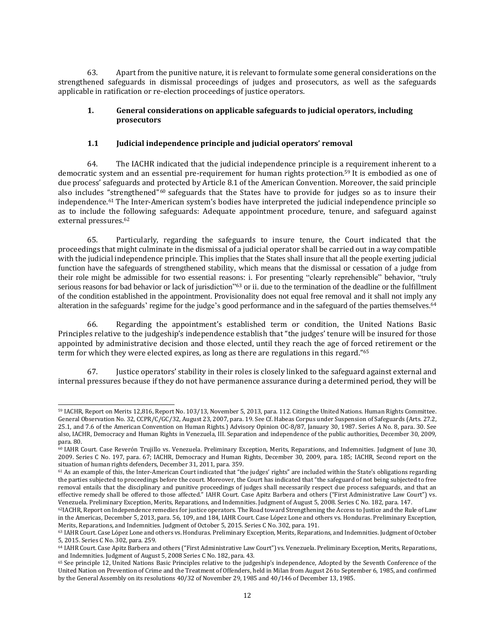63. Apart from the punitive nature, it is relevant to formulate some general considerations on the strengthened safeguards in dismissal proceedings of judges and prosecutors, as well as the safeguards applicable in ratification or re-election proceedings of justice operators.

## **1. General considerations on applicable safeguards to judicial operators, including prosecutors**

## **1.1 Judicial independence principle and judicial operators' removal**

64. The IACHR indicated that the judicial independence principle is a requirement inherent to a democratic system and an essential pre-requirement for human rights protection.<sup>59</sup> It is embodied as one of due process' safeguards and protected by Article 8.1 of the American Convention. Moreover, the said principle also includes "strengthened"<sup>60</sup> safeguards that the States have to provide for judges so as to insure their independence.<sup>61</sup> The Inter-American system's bodies have interpreted the judicial independence principle so as to include the following safeguards: Adequate appointment procedure, tenure, and safeguard against external pressures.<sup>62</sup>

65. Particularly, regarding the safeguards to insure tenure, the Court indicated that the proceedings that might culminate in the dismissal of a judicial operator shall be carried out in a way compatible with the judicial independence principle. This implies that the States shall insure that all the people exerting judicial function have the safeguards of strengthened stability, which means that the dismissal or cessation of a judge from their role might be admissible for two essential reasons: i. For presenting "clearly reprehensible" behavior, "truly serious reasons for bad behavior or lack of jurisdiction"<sup>63</sup> or ii. due to the termination of the deadline or the fulfillment of the condition established in the appointment. Provisionality does not equal free removal and it shall not imply any alteration in the safeguards' regime for the judge's good performance and in the safeguard of the parties themselves.<sup>64</sup>

66. Regarding the appointment's established term or condition, the United Nations Basic Principles relative to the judgeship's independence establish that "the judges' tenure will be insured for those appointed by administrative decision and those elected, until they reach the age of forced retirement or the term for which they were elected expires, as long as there are regulations in this regard."<sup>65</sup>

67. Justice operators' stability in their roles is closely linked to the safeguard against external and internal pressures because if they do not have permanence assurance during a determined period, they will be

<sup>59</sup> IACHR, Report on Merits 12,816, Report No. 103/13, November 5, 2013, para. 112. Citing the United Nations. Human Rights Committee. General Observation No. 32, CCPR/C/GC/32, August 23, 2007, para. 19. See Cf. Habeas Corpus under Suspension of Safeguards (Arts. 27.2, 25.1, and 7.6 of the American Convention on Human Rights.) Advisory Opinion OC-8/87, January 30, 1987. Series A No. 8, para. 30. See also, IACHR, Democracy and Human Rights in Venezuela, III. Separation and independence of the public authorities, December 30, 2009, para. 80.

<sup>60</sup> IAHR Court. Case Reverón Trujillo vs. Venezuela. Preliminary Exception, Merits, Reparations, and Indemnities. Judgment of June 30, 2009. Series C No. 197, para. 67; IACHR, Democracy and Human Rights, December 30, 2009, para. 185; IACHR, Second report on the situation of human rights defenders, December 31, 2011, para. 359.

<sup>61</sup> As an example of this, the Inter-American Court indicated that "the judges' rights" are included within the State's obligations regarding the parties subjected to proceedings before the court. Moreover, the Court has indicated that "the safeguard of not being subjected to free removal entails that the disciplinary and punitive proceedings of judges shall necessarily respect due process safeguards, and that an effective remedy shall be offered to those affected." IAHR Court. Case Apitz Barbera and others ("First Administrative Law Court") vs. Venezuela. Preliminary Exception, Merits, Reparations, and Indemnities. Judgment of August 5, 2008. Series C No. 182, para. 147.

<sup>62</sup>IACHR, Report on Independence remedies for justice operators. The Road toward Strengthening the Access to Justice and the Rule of Law in the Americas, December 5, 2013, para. 56, 109, and 184, IAHR Court. Case López Lone and others vs. Honduras. Preliminary Exception, Merits, Reparations, and Indemnities. Judgment of October 5, 2015. Series C No. 302, para. 191.

<sup>63</sup> IAHR Court. Case López Lone and others vs. Honduras. Preliminary Exception, Merits, Reparations, and Indemnities. Judgment of October 5, 2015. Series C No. 302, para. 259.

<sup>64</sup> IAHR Court. Case Apitz Barbera and others ("First Administrative Law Court") vs. Venezuela. Preliminary Exception, Merits, Reparations, and Indemnities. Judgment of August 5, 2008 Series C No. 182, para. 43.

<sup>65</sup> See principle 12, United Nations Basic Principles relative to the judgeship's independence, Adopted by the Seventh Conference of the United Nation on Prevention of Crime and the Treatment of Offenders, held in Milan from August 26 to September 6, 1985, and confirmed by the General Assembly on its resolutions 40/32 of November 29, 1985 and 40/146 of December 13, 1985.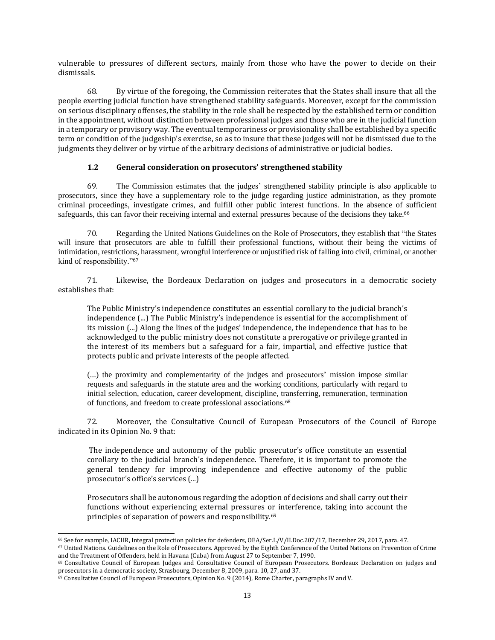vulnerable to pressures of different sectors, mainly from those who have the power to decide on their dismissals.

68. By virtue of the foregoing, the Commission reiterates that the States shall insure that all the people exerting judicial function have strengthened stability safeguards. Moreover, except for the commission on serious disciplinary offenses, the stability in the role shall be respected by the established term or condition in the appointment, without distinction between professional judges and those who are in the judicial function in a temporary or provisory way. The eventual temporariness or provisionality shall be established by a specific term or condition of the judgeship's exercise, so as to insure that these judges will not be dismissed due to the judgments they deliver or by virtue of the arbitrary decisions of administrative or judicial bodies.

#### **1.2 General consideration on prosecutors' strengthened stability**

69. The Commission estimates that the judges' strengthened stability principle is also applicable to prosecutors, since they have a supplementary role to the judge regarding justice administration, as they promote criminal proceedings, investigate crimes, and fulfill other public interest functions. In the absence of sufficient safeguards, this can favor their receiving internal and external pressures because of the decisions they take.<sup>66</sup>

70. Regarding the United Nations Guidelines on the Role of Prosecutors, they establish that "the States will insure that prosecutors are able to fulfill their professional functions, without their being the victims of intimidation, restrictions, harassment, wrongful interference or unjustified risk of falling into civil, criminal, or another kind of responsibility."<sup>67</sup>

71. Likewise, the Bordeaux Declaration on judges and prosecutors in a democratic society establishes that:

The Public Ministry's independence constitutes an essential corollary to the judicial branch's independence (...) The Public Ministry's independence is essential for the accomplishment of its mission (...) Along the lines of the judges' independence, the independence that has to be acknowledged to the public ministry does not constitute a prerogative or privilege granted in the interest of its members but a safeguard for a fair, impartial, and effective justice that protects public and private interests of the people affected.

(...) the proximity and complementarity of the judges and prosecutors' mission impose similar requests and safeguards in the statute area and the working conditions, particularly with regard to initial selection, education, career development, discipline, transferring, remuneration, termination of functions, and freedom to create professional associations.<sup>68</sup>

72. Moreover, the Consultative Council of European Prosecutors of the Council of Europe indicated in its Opinion No. 9 that:

The independence and autonomy of the public prosecutor's office constitute an essential corollary to the judicial branch's independence. Therefore, it is important to promote the general tendency for improving independence and effective autonomy of the public prosecutor's office's services (...)

Prosecutors shall be autonomous regarding the adoption of decisions and shall carry out their functions without experiencing external pressures or interference, taking into account the principles of separation of powers and responsibility.<sup>69</sup>

<sup>66</sup> See for example, IACHR, Integral protection policies for defenders, OEA/Ser.L/V/II.Doc.207/17, December 29, 2017, para. 47.

<sup>67</sup> United Nations. Guidelines on the Role of Prosecutors. Approved by the Eighth Conference of the United Nations on Prevention of Crime and the Treatment of Offenders, held in Havana (Cuba) from August 27 to September 7, 1990.

<sup>68</sup> Consultative Council of European Judges and Consultative Council of European Prosecutors. Bordeaux Declaration on judges and prosecutors in a democratic society, Strasbourg, December 8, 2009, para. 10, 27, and 37.

<sup>69</sup> Consultative Council of European Prosecutors, Opinion No. 9 (2014), Rome Charter, paragraphs IV and V.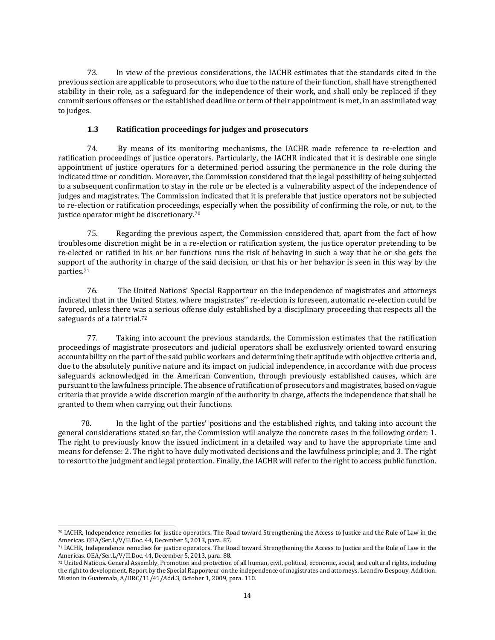73. In view of the previous considerations, the IACHR estimates that the standards cited in the previous section are applicable to prosecutors, who due to the nature of their function, shall have strengthened stability in their role, as a safeguard for the independence of their work, and shall only be replaced if they commit serious offenses or the established deadline or term of their appointment is met, in an assimilated way to judges.

# **1.3 Ratification proceedings for judges and prosecutors**

74. By means of its monitoring mechanisms, the IACHR made reference to re-election and ratification proceedings of justice operators. Particularly, the IACHR indicated that it is desirable one single appointment of justice operators for a determined period assuring the permanence in the role during the indicated time or condition. Moreover, the Commission considered that the legal possibility of being subjected to a subsequent confirmation to stay in the role or be elected is a vulnerability aspect of the independence of judges and magistrates. The Commission indicated that it is preferable that justice operators not be subjected to re-election or ratification proceedings, especially when the possibility of confirming the role, or not, to the justice operator might be discretionary.<sup>70</sup>

75. Regarding the previous aspect, the Commission considered that, apart from the fact of how troublesome discretion might be in a re-election or ratification system, the justice operator pretending to be re-elected or ratified in his or her functions runs the risk of behaving in such a way that he or she gets the support of the authority in charge of the said decision, or that his or her behavior is seen in this way by the parties.<sup>71</sup>

76. The United Nations' Special Rapporteur on the independence of magistrates and attorneys indicated that in the United States, where magistrates'' re-election is foreseen, automatic re-election could be favored, unless there was a serious offense duly established by a disciplinary proceeding that respects all the safeguards of a fair trial.<sup>72</sup>

77. Taking into account the previous standards, the Commission estimates that the ratification proceedings of magistrate prosecutors and judicial operators shall be exclusively oriented toward ensuring accountability on the part of the said public workers and determining their aptitude with objective criteria and, due to the absolutely punitive nature and its impact on judicial independence, in accordance with due process safeguards acknowledged in the American Convention, through previously established causes, which are pursuantto the lawfulness principle. The absence of ratification of prosecutors and magistrates, based on vague criteria that provide a wide discretion margin of the authority in charge, affects the independence that shall be granted to them when carrying out their functions.

78. In the light of the parties' positions and the established rights, and taking into account the general considerations stated so far, the Commission will analyze the concrete cases in the following order: 1. The right to previously know the issued indictment in a detailed way and to have the appropriate time and means for defense: 2. The right to have duly motivated decisions and the lawfulness principle; and 3. The right to resort to the judgment and legal protection. Finally, the IACHR will refer to the right to access public function.

<sup>70</sup> IACHR, Independence remedies for justice operators. The Road toward Strengthening the Access to Justice and the Rule of Law in the Americas. OEA/Ser.L/V/II.Doc. 44, December 5, 2013, para. 87.

<sup>71</sup> IACHR, Independence remedies for justice operators. The Road toward Strengthening the Access to Justice and the Rule of Law in the Americas. OEA/Ser.L/V/II.Doc. 44, December 5, 2013, para. 88.

<sup>72</sup> United Nations. General Assembly, Promotion and protection of all human, civil, political, economic, social, and cultural rights, including the right to development. Report by the Special Rapporteur on the independence of magistrates and attorneys, Leandro Despouy, Addition. Mission in Guatemala, A/HRC/11/41/Add.3, October 1, 2009, para. 110.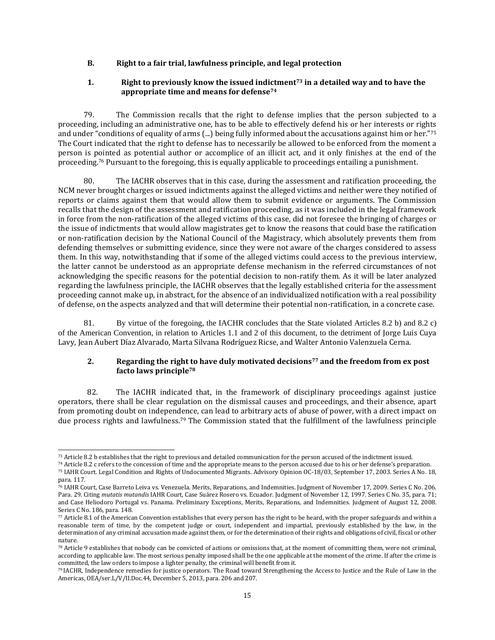#### **B. Right to a fair trial, lawfulness principle, and legal protection**

#### **1. Right to previously know the issued indictment<sup>73</sup> in a detailed way and to have the appropriate time and means for defense<sup>74</sup>**

79. The Commission recalls that the right to defense implies that the person subjected to a proceeding, including an administrative one, has to be able to effectively defend his or her interests or rights and under "conditions of equality of arms (...) being fully informed about the accusations against him or her."75 The Court indicated that the right to defense has to necessarily be allowed to be enforced from the moment a person is pointed as potential author or accomplice of an illicit act, and it only finishes at the end of the proceeding.<sup>76</sup> Pursuant to the foregoing, this is equally applicable to proceedings entailing a punishment.

80. The IACHR observes that in this case, during the assessment and ratification proceeding, the NCM never brought charges or issued indictments against the alleged victims and neither were they notified of reports or claims against them that would allow them to submit evidence or arguments. The Commission recalls that the design of the assessment and ratification proceeding, as it was included in the legal framework in force from the non-ratification of the alleged victims of this case, did not foresee the bringing of charges or the issue of indictments that would allow magistrates get to know the reasons that could base the ratification or non-ratification decision by the National Council of the Magistracy, which absolutely prevents them from defending themselves or submitting evidence, since they were not aware of the charges considered to assess them. In this way, notwithstanding that if some of the alleged victims could access to the previous interview, the latter cannot be understood as an appropriate defense mechanism in the referred circumstances of not acknowledging the specific reasons for the potential decision to non-ratify them. As it will be later analyzed regarding the lawfulness principle, the IACHR observes that the legally established criteria for the assessment proceeding cannot make up, in abstract, for the absence of an individualized notification with a real possibility of defense, on the aspects analyzed and that will determine their potential non-ratification, in a concrete case.

81. By virtue of the foregoing, the IACHR concludes that the State violated Articles 8.2 b) and 8.2 c) of the American Convention, in relation to Articles 1.1 and 2 of this document, to the detriment of Jorge Luis Cuya Lavy, Jean Aubert Díaz Alvarado, Marta Silvana Rodríguez Ricse, and Walter Antonio Valenzuela Cerna.

#### **2. Regarding the right to have duly motivated decisions<sup>77</sup> and the freedom from ex post facto laws principle<sup>78</sup>**

82. The IACHR indicated that, in the framework of disciplinary proceedings against justice operators, there shall be clear regulation on the dismissal causes and proceedings, and their absence, apart from promoting doubt on independence, can lead to arbitrary acts of abuse of power, with a direct impact on due process rights and lawfulness.<sup>79</sup> The Commission stated that the fulfillment of the lawfulness principle

<sup>73</sup> Article 8.2 b establishes that the right to previous and detailed communication for the person accused of the indictment issued.

<sup>74</sup> Article 8.2 c refers to the concession of time and the appropriate means to the person accused due to his or her defense's preparation. <sup>75</sup> IAHR Court. Legal Condition and Rights of Undocumented Migrants. Advisory Opinion OC-18/03, September 17, 2003. Series A No. 18, para. 117.

<sup>76</sup> IAHR Court, Case Barreto Leiva vs. Venezuela. Merits, Reparations, and Indemnities. Judgment of November 17, 2009. Series C No. 206. Para. 29. Citing *mutatis mutandis* IAHR Court, Case Suárez Rosero vs. Ecuador. Judgment of November 12, 1997. Series C No. 35, para. 71; and Case Heliodoro Portugal vs. Panama. Preliminary Exceptions, Merits, Reparations, and Indemnities. Judgment of August 12, 2008. Series C No. 186, para. 148.

<sup>77</sup> Article 8.1 of the American Convention establishes that every person has the right to be heard, with the proper safeguards and within a reasonable term of time, by the competent judge or court, independent and impartial, previously established by the law, in the determination of any criminal accusation made against them, or for the determination of their rights and obligations of civil, fiscal or other nature.

<sup>78</sup> Article 9 establishes that nobody can be convicted of actions or omissions that, at the moment of committing them, were not criminal, according to applicable law. The most serious penalty imposed shall be the one applicable at the moment of the crime. If after the crime is committed, the law orders to impose a lighter penalty, the criminal will benefit from it.

<sup>79</sup> IACHR, Independence remedies for justice operators. The Road toward Strengthening the Access to Justice and the Rule of Law in the Americas, OEA/ser.L/V/II.Doc.44, December 5, 2013, para. 206 and 207.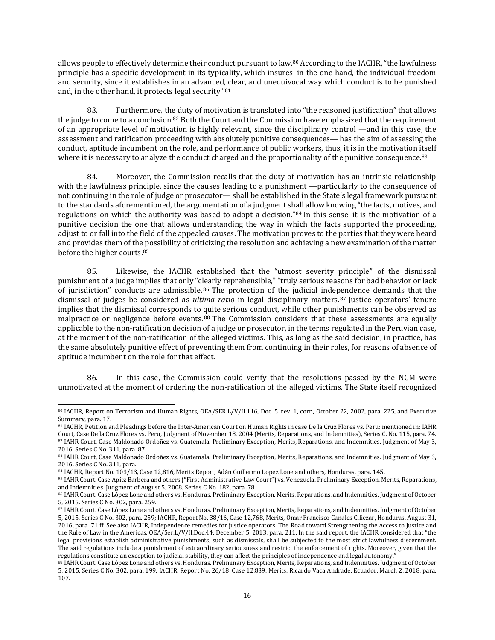allows people to effectively determine their conduct pursuant to law.<sup>80</sup> According to the IACHR, "the lawfulness principle has a specific development in its typicality, which insures, in the one hand, the individual freedom and security, since it establishes in an advanced, clear, and unequivocal way which conduct is to be punished and, in the other hand, it protects legal security."<sup>81</sup>

83. Furthermore, the duty of motivation is translated into "the reasoned justification" that allows the judge to come to a conclusion.<sup>82</sup> Both the Court and the Commission have emphasized that the requirement of an appropriate level of motivation is highly relevant, since the disciplinary control —and in this case, the assessment and ratification proceeding with absolutely punitive consequences— has the aim of assessing the conduct, aptitude incumbent on the role, and performance of public workers, thus, it is in the motivation itself where it is necessary to analyze the conduct charged and the proportionality of the punitive consequence.<sup>83</sup>

84. Moreover, the Commission recalls that the duty of motivation has an intrinsic relationship with the lawfulness principle, since the causes leading to a punishment —particularly to the consequence of not continuing in the role of judge or prosecutor— shall be established in the State's legal framework pursuant to the standards aforementioned, the argumentation of a judgment shall allow knowing "the facts, motives, and regulations on which the authority was based to adopt a decision."<sup>84</sup> In this sense, it is the motivation of a punitive decision the one that allows understanding the way in which the facts supported the proceeding, adjust to or fall into the field of the appealed causes. The motivation proves to the parties that they were heard and provides them of the possibility of criticizing the resolution and achieving a new examination of the matter before the higher courts.<sup>85</sup>

85. Likewise, the IACHR established that the "utmost severity principle" of the dismissal punishment of a judge implies that only "clearly reprehensible," "truly serious reasons for bad behavior or lack of jurisdiction" conducts are admissible. <sup>86</sup> The protection of the judicial independence demands that the dismissal of judges be considered as *ultima ratio* in legal disciplinary matters. <sup>87</sup> Justice operators' tenure implies that the dismissal corresponds to quite serious conduct, while other punishments can be observed as malpractice or negligence before events. <sup>88</sup> The Commission considers that these assessments are equally applicable to the non-ratification decision of a judge or prosecutor, in the terms regulated in the Peruvian case, at the moment of the non-ratification of the alleged victims. This, as long as the said decision, in practice, has the same absolutely punitive effect of preventing them from continuing in their roles, for reasons of absence of aptitude incumbent on the role for that effect.

86. In this case, the Commission could verify that the resolutions passed by the NCM were unmotivated at the moment of ordering the non-ratification of the alleged victims. The State itself recognized

<sup>80</sup> IACHR, Report on Terrorism and Human Rights, OEA/SER.L/V/II.116, Doc. 5. rev. 1, corr., October 22, 2002, para. 225, and Executive Summary, para. 17.

<sup>81</sup> IACHR, Petition and Pleadings before the Inter-American Court on Human Rights in case De la Cruz Flores vs. Peru; mentioned in: IAHR Court, Case De la Cruz Flores vs. Peru, Judgment of November 18, 2004 (Merits, Reparations, and Indemnities), Series C. No. 115, para. 74. 82 IAHR Court, Case Maldonado Ordoñez vs. Guatemala. Preliminary Exception, Merits, Reparations, and Indemnities. Judgment of May 3, 2016. Series C No. 311, para. 87.

<sup>83</sup> IAHR Court, Case Maldonado Ordoñez vs. Guatemala. Preliminary Exception, Merits, Reparations, and Indemnities. Judgment of May 3, 2016. Series C No. 311, para.

<sup>84</sup> IACHR, Report No. 103/13, Case 12,816, Merits Report, Adán Guillermo Lopez Lone and others, Honduras, para. 145.

<sup>85</sup> IAHR Court. Case Apitz Barbera and others ("First Administrative Law Court") vs. Venezuela. Preliminary Exception, Merits, Reparations, and Indemnities. Judgment of August 5, 2008, Series C No. 182, para. 78.

<sup>86</sup> IAHR Court. Case López Lone and others vs. Honduras. Preliminary Exception, Merits, Reparations, and Indemnities. Judgment of October 5, 2015. Series C No. 302, para. 259.

<sup>87</sup> IAHR Court. Case López Lone and others vs. Honduras. Preliminary Exception, Merits, Reparations, and Indemnities. Judgment of October 5, 2015. Series C No. 302, para. 259; IACHR, Report No. 38/16, Case 12,768, Merits, Omar Francisco Canales Ciliezar, Honduras, August 31, 2016, para. 71 ff. See also IACHR, Independence remedies for justice operators. The Road toward Strengthening the Access to Justice and the Rule of Law in the Americas, OEA/Ser.L/V/II.Doc.44, December 5, 2013, para. 211. In the said report, the IACHR considered that "the legal provisions establish administrative punishments, such as dismissals, shall be subjected to the most strict lawfulness discernment. The said regulations include a punishment of extraordinary seriousness and restrict the enforcement of rights. Moreover, given that the regulations constitute an exception to judicial stability, they can affect the principles of independence and legal autonomy."

<sup>88</sup> IAHR Court. Case López Lone and others vs. Honduras. Preliminary Exception, Merits, Reparations, and Indemnities. Judgment of October 5, 2015. Series C No. 302, para. 199. IACHR, Report No. 26/18, Case 12,839. Merits. Ricardo Vaca Andrade. Ecuador. March 2, 2018, para. 107.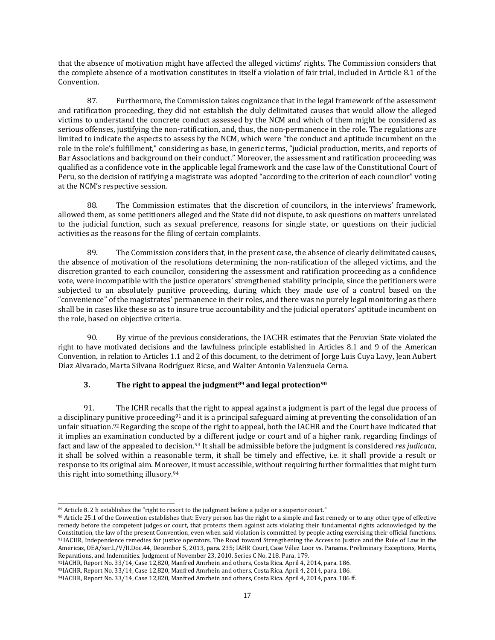that the absence of motivation might have affected the alleged victims' rights. The Commission considers that the complete absence of a motivation constitutes in itself a violation of fair trial, included in Article 8.1 of the Convention.

87. Furthermore, the Commission takes cognizance that in the legal framework of the assessment and ratification proceeding, they did not establish the duly delimitated causes that would allow the alleged victims to understand the concrete conduct assessed by the NCM and which of them might be considered as serious offenses, justifying the non-ratification, and, thus, the non-permanence in the role. The regulations are limited to indicate the aspects to assess by the NCM, which were "the conduct and aptitude incumbent on the role in the role's fulfillment," considering as base, in generic terms, "judicial production, merits, and reports of Bar Associations and background on their conduct." Moreover, the assessment and ratification proceeding was qualified as a confidence vote in the applicable legal framework and the case law of the Constitutional Court of Peru, so the decision of ratifying a magistrate was adopted "according to the criterion of each councilor" voting at the NCM's respective session.

88. The Commission estimates that the discretion of councilors, in the interviews' framework, allowed them, as some petitioners alleged and the State did not dispute, to ask questions on matters unrelated to the judicial function, such as sexual preference, reasons for single state, or questions on their judicial activities as the reasons for the filing of certain complaints.

89. The Commission considers that, in the present case, the absence of clearly delimitated causes, the absence of motivation of the resolutions determining the non-ratification of the alleged victims, and the discretion granted to each councilor, considering the assessment and ratification proceeding as a confidence vote, were incompatible with the justice operators' strengthened stability principle, since the petitioners were subjected to an absolutely punitive proceeding, during which they made use of a control based on the "convenience" of the magistrates' permanence in their roles, and there was no purely legal monitoring as there shall be in cases like these so as to insure true accountability and the judicial operators' aptitude incumbent on the role, based on objective criteria.

90. By virtue of the previous considerations, the IACHR estimates that the Peruvian State violated the right to have motivated decisions and the lawfulness principle established in Articles 8.1 and 9 of the American Convention, in relation to Articles 1.1 and 2 of this document, to the detriment of Jorge Luis Cuya Lavy, Jean Aubert Díaz Alvarado, Marta Silvana Rodríguez Ricse, and Walter Antonio Valenzuela Cerna.

# **3. The right to appeal the judgment<sup>89</sup> and legal protection<sup>90</sup>**

91. The ICHR recalls that the right to appeal against a judgment is part of the legal due process of a disciplinary punitive proceeding<sup>91</sup> and it is a principal safeguard aiming at preventing the consolidation of an unfair situation.<sup>92</sup> Regarding the scope of the right to appeal, both the IACHR and the Court have indicated that it implies an examination conducted by a different judge or court and of a higher rank, regarding findings of fact and law of the appealed to decision.<sup>93</sup> It shall be admissible before the judgment is considered *res judicata*, it shall be solved within a reasonable term, it shall be timely and effective, i.e. it shall provide a result or response to its original aim. Moreover, it must accessible, without requiring further formalities that might turn this right into something illusory.<sup>94</sup>

<sup>89</sup> Article 8. 2 h establishes the "right to resort to the judgment before a judge or a superior court."

<sup>90</sup> Article 25.1 of the Convention establishes that: Every person has the right to a simple and fast remedy or to any other type of effective remedy before the competent judges or court, that protects them against acts violating their fundamental rights acknowledged by the Constitution, the law of the present Convention, even when said violation is committed by people acting exercising their official functions. <sup>91</sup> IACHR, Independence remedies for justice operators. The Road toward Strengthening the Access to Justice and the Rule of Law in the Americas, OEA/ser.L/V/II.Doc.44, December 5, 2013, para. 235; IAHR Court, Case Vélez Loor vs. Panama. Preliminary Exceptions, Merits, Reparations, and Indemnities. Judgment of November 23, 2010. Series C No. 218. Para. 179.

<sup>92</sup>IACHR, Report No. 33/14, Case 12,820, Manfred Amrhein and others, Costa Rica. April 4, 2014, para. 186.

<sup>93</sup>IACHR, Report No. 33/14, Case 12,820, Manfred Amrhein and others, Costa Rica. April 4, 2014, para. 186.

<sup>94</sup>IACHR, Report No. 33/14, Case 12,820, Manfred Amrhein and others, Costa Rica. April 4, 2014, para. 186 ff.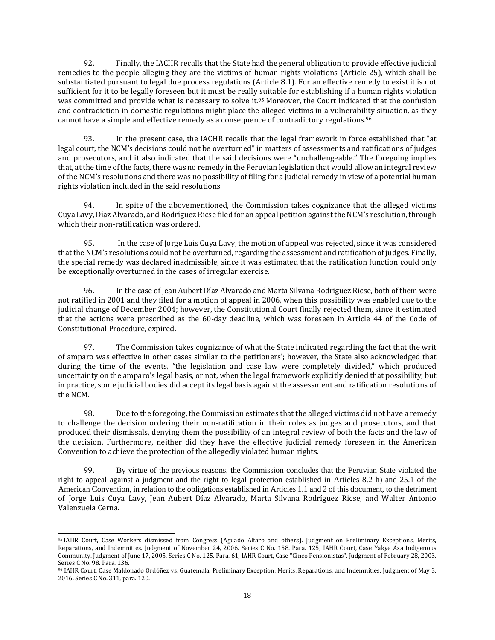92. Finally, the IACHR recalls that the State had the general obligation to provide effective judicial remedies to the people alleging they are the victims of human rights violations (Article 25), which shall be substantiated pursuant to legal due process regulations (Article 8.1). For an effective remedy to exist it is not sufficient for it to be legally foreseen but it must be really suitable for establishing if a human rights violation was committed and provide what is necessary to solve it.<sup>95</sup> Moreover, the Court indicated that the confusion and contradiction in domestic regulations might place the alleged victims in a vulnerability situation, as they cannot have a simple and effective remedy as a consequence of contradictory regulations.<sup>96</sup>

93. In the present case, the IACHR recalls that the legal framework in force established that "at legal court, the NCM's decisions could not be overturned" in matters of assessments and ratifications of judges and prosecutors, and it also indicated that the said decisions were "unchallengeable." The foregoing implies that, atthe time ofthe facts, there was no remedy in the Peruvian legislation that would allow an integral review of the NCM's resolutions and there was no possibility of filing for a judicial remedy in view of a potential human rights violation included in the said resolutions.

94. In spite of the abovementioned, the Commission takes cognizance that the alleged victims Cuya Lavy, Díaz Alvarado, and Rodríguez Ricse filed for an appeal petition against the NCM's resolution, through which their non-ratification was ordered.

95. In the case of Jorge Luis Cuya Lavy, the motion of appeal was rejected, since it was considered thatthe NCM's resolutions could not be overturned, regarding the assessment and ratification of judges. Finally, the special remedy was declared inadmissible, since it was estimated that the ratification function could only be exceptionally overturned in the cases of irregular exercise.

96. In the case of Jean Aubert Díaz Alvarado and Marta Silvana Rodriguez Ricse, both of them were not ratified in 2001 and they filed for a motion of appeal in 2006, when this possibility was enabled due to the judicial change of December 2004; however, the Constitutional Court finally rejected them, since it estimated that the actions were prescribed as the 60-day deadline, which was foreseen in Article 44 of the Code of Constitutional Procedure, expired.

97. The Commission takes cognizance of what the State indicated regarding the fact that the writ of amparo was effective in other cases similar to the petitioners'; however, the State also acknowledged that during the time of the events, "the legislation and case law were completely divided," which produced uncertainty on the amparo's legal basis, or not, when the legal framework explicitly denied that possibility, but in practice, some judicial bodies did accept its legal basis against the assessment and ratification resolutions of the NCM.

98. Due to the foregoing, the Commission estimates that the alleged victims did not have a remedy to challenge the decision ordering their non-ratification in their roles as judges and prosecutors, and that produced their dismissals, denying them the possibility of an integral review of both the facts and the law of the decision. Furthermore, neither did they have the effective judicial remedy foreseen in the American Convention to achieve the protection of the allegedly violated human rights.

99. By virtue of the previous reasons, the Commission concludes that the Peruvian State violated the right to appeal against a judgment and the right to legal protection established in Articles 8.2 h) and 25.1 of the American Convention, in relation to the obligations established in Articles 1.1 and 2 of this document, to the detriment of Jorge Luis Cuya Lavy, Jean Aubert Díaz Alvarado, Marta Silvana Rodríguez Ricse, and Walter Antonio Valenzuela Cerna.

<sup>95</sup> IAHR Court, Case Workers dismissed from Congress (Aguado Alfaro and others). Judgment on Preliminary Exceptions, Merits, Reparations, and Indemnities. Judgment of November 24, 2006. Series C No. 158. Para. 125; IAHR Court, Case Yakye Axa Indigenous Community. Judgment of June 17, 2005. Series C No. 125. Para. 61; IAHR Court, Case "Cinco Pensionistas". Judgment of February 28, 2003. Series C No. 98. Para. 136.

<sup>96</sup> IAHR Court. Case Maldonado Ordóñez vs. Guatemala. Preliminary Exception, Merits, Reparations, and Indemnities. Judgment of May 3, 2016. Series C No. 311, para. 120.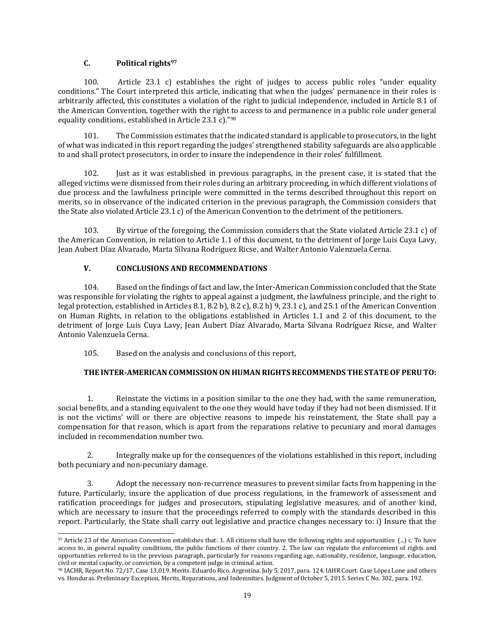#### **C. Political rights<sup>97</sup>**

100. Article 23.1 c) establishes the right of judges to access public roles "under equality conditions." The Court interpreted this article, indicating that when the judges' permanence in their roles is arbitrarily affected, this constitutes a violation of the right to judicial independence, included in Article 8.1 of the American Convention, together with the right to access to and permanence in a public role under general equality conditions, established in Article 23.1 c)."<sup>98</sup>

101. The Commission estimates that the indicated standard is applicable to prosecutors, in the light of what was indicated in this report regarding the judges' strengthened stability safeguards are also applicable to and shall protect prosecutors, in order to insure the independence in their roles' fulfillment.

102. Just as it was established in previous paragraphs, in the present case, it is stated that the alleged victims were dismissed from their roles during an arbitrary proceeding, in which different violations of due process and the lawfulness principle were committed in the terms described throughout this report on merits, so in observance of the indicated criterion in the previous paragraph, the Commission considers that the State also violated Article 23.1 c) of the American Convention to the detriment of the petitioners.

103. By virtue of the foregoing, the Commission considers that the State violated Article 23.1 c) of the American Convention, in relation to Article 1.1 of this document, to the detriment of Jorge Luis Cuya Lavy, Jean Aubert Díaz Alvarado, Marta Silvana Rodríguez Ricse, and Walter Antonio Valenzuela Cerna.

# **V. CONCLUSIONS AND RECOMMENDATIONS**

104. Based on the findings of fact and law, the Inter-American Commission concluded that the State was responsible for violating the rights to appeal against a judgment, the lawfulness principle, and the right to legal protection, established in Articles 8.1, 8.2 b), 8.2 c), 8.2 h) 9, 23.1 c), and 25.1 of the American Convention on Human Rights, in relation to the obligations established in Articles 1.1 and 2 of this document, to the detriment of Jorge Luis Cuya Lavy, Jean Aubert Díaz Alvarado, Marta Silvana Rodríguez Ricse, and Walter Antonio Valenzuela Cerna.

105. Based on the analysis and conclusions of this report,

# **THE INTER-AMERICAN COMMISSION ON HUMANRIGHTS RECOMMENDS THE STATEOF PERU TO:**

1. Reinstate the victims in a position similar to the one they had, with the same remuneration, social benefits, and a standing equivalent to the one they would have today if they had not been dismissed. If it is not the victims' will or there are objective reasons to impede his reinstatement, the State shall pay a compensation for that reason, which is apart from the reparations relative to pecuniary and moral damages included in recommendation number two.

2. Integrally make up for the consequences of the violations established in this report, including both pecuniary and non-pecuniary damage.

3. Adopt the necessary non-recurrence measures to prevent similar facts from happening in the future. Particularly, insure the application of due process regulations, in the framework of assessment and ratification proceedings for judges and prosecutors, stipulating legislative measures, and of another kind, which are necessary to insure that the proceedings referred to comply with the standards described in this report. Particularly, the State shall carry out legislative and practice changes necessary to: i) Insure that the

<sup>97</sup> Article 23 of the American Convention establishes that: 1. All citizens shall have the following rights and opportunities: (...) c. To have access to, in general equality conditions, the public functions of their country. 2. The law can regulate the enforcement of rights and opportunities referred to in the previous paragraph, particularly for reasons regarding age, nationality, residence, language, education, civil or mental capacity, or conviction, by a competent judge in criminal action.

<sup>98</sup> IACHR, Report No. 72/17, Case 13,019. Merits. Eduardo Rico. Argentina. July 5, 2017, para. 124. IAHR Court. Case López Lone and others vs. Honduras. Preliminary Exception, Merits, Reparations, and Indemnities. Judgment of October 5, 2015. Series C No. 302, para. 192.